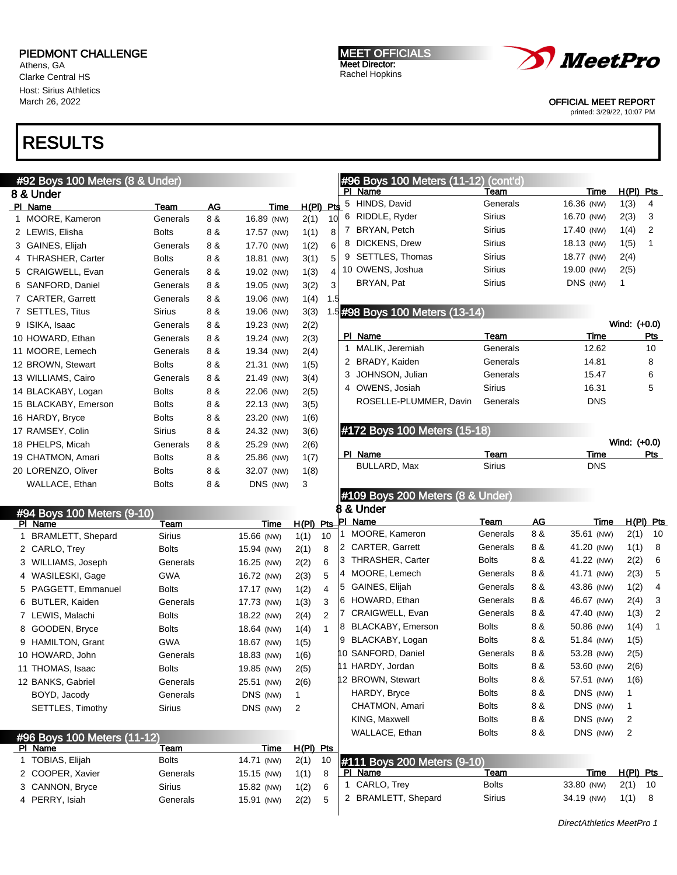Athens, GA Clarke Central HS Host: Sirius Athletics March 26, 2022

# RESULTS

|                | #92 Boys 100 Meters (8 & Under) |               |     |            |       |      |
|----------------|---------------------------------|---------------|-----|------------|-------|------|
|                | 8 & Under                       |               |     |            |       |      |
| PI.            | Name                            | Team          | AG  | Time       | H(PI) | Pt\$ |
| 1              | MOORE, Kameron                  | Generals      | 8 & | 16.89 (NW) | 2(1)  | 10   |
|                | 2 LEWIS, Elisha                 | <b>Bolts</b>  | 8 & | 17.57 (NW) | 1(1)  | 8    |
| 3              | GAINES, Elijah                  | Generals      | 8 & | 17.70 (NW) | 1(2)  | 6    |
| 4              | <b>THRASHER, Carter</b>         | <b>Bolts</b>  | 8 & | 18.81 (NW) | 3(1)  | 5    |
| 5              | CRAIGWELL, Evan                 | Generals      | 8 & | 19.02 (NW) | 1(3)  | 4    |
| 6              | SANFORD, Daniel                 | Generals      | 8 & | 19.05 (NW) | 3(2)  | 3    |
| 7              | <b>CARTER, Garrett</b>          | Generals      | 8 & | 19.06 (NW) | 1(4)  | 1.5  |
| $\overline{7}$ | <b>SETTLES, Titus</b>           | <b>Sirius</b> | 8 & | 19.06 (NW) | 3(3)  | 1.5  |
| 9              | ISIKA, Isaac                    | Generals      | 8 & | 19.23 (NW) | 2(2)  |      |
|                | 10 HOWARD, Ethan                | Generals      | 8 & | 19.24 (NW) | 2(3)  |      |
|                | 11 MOORE, Lemech                | Generals      | 8 & | 19.34 (NW) | 2(4)  |      |
|                | 12 BROWN, Stewart               | <b>Bolts</b>  | 8 & | 21.31 (NW) | 1(5)  |      |
|                | 13 WILLIAMS, Cairo              | Generals      | 8 & | 21.49 (NW) | 3(4)  |      |
|                | 14 BLACKABY, Logan              | <b>Bolts</b>  | 8 & | 22.06 (NW) | 2(5)  |      |
|                | 15 BLACKABY, Emerson            | <b>Bolts</b>  | 8 & | 22.13 (NW) | 3(5)  |      |
|                | 16 HARDY, Bryce                 | <b>Bolts</b>  | 8 & | 23.20 (NW) | 1(6)  |      |
|                | 17 RAMSEY, Colin                | <b>Sirius</b> | 8 & | 24.32 (NW) | 3(6)  |      |
|                | 18 PHELPS, Micah                | Generals      | 8 & | 25.29 (NW) | 2(6)  |      |
|                | 19 CHATMON, Amari               | <b>Bolts</b>  | 8 & | 25.86 (NW) | 1(7)  |      |
|                | 20 LORENZO, Oliver              | <b>Bolts</b>  | 8 & | 32.07 (NW) | 1(8)  |      |
|                | WALLACE, Ethan                  | <b>Bolts</b>  | 8 & | DNS (NW)   | 3     |      |
|                |                                 |               |     |            |       |      |

MEET OFFICIALS Meet Director: Rachel Hopkins



#### OFFICIAL MEET REPORT

printed: 3/29/22, 10:07 PM

### #96 Boys 100 Meters (11-12) (cont'd) PI Name Team Team Team Time H(PI) Pts 5 HINDS, David Generals 16.36 (NW) 1(3) 4 6 RIDDLE, Ryder Sirius 16.70 (NW) 2(3) 3 7 BRYAN, Petch Sirius 17.40 (NW) 1(4) 2 8 DICKENS, Drew Sirius 18.13 (NW) 1(5) 1 9 SETTLES, Thomas Sirius 18.77 (NW) 2(4) 10 OWENS, Joshua Sirius 19.00 (NW) 2(5) BRYAN, Pat **Sirius** Sirius DNS (NW) 1

## #98 Boys 100 Meters (13-14)

|    | $1.99$ by $1.99$ . The total through $1.9$ |               | Wind: (+0.0) |     |
|----|--------------------------------------------|---------------|--------------|-----|
| РI | Name                                       | Team          | Time         | Pts |
|    | 1 MALIK, Jeremiah                          | Generals      | 12.62        | 10  |
|    | 2 BRADY, Kaiden                            | Generals      | 14.81        | 8   |
|    | 3 JOHNSON, Julian                          | Generals      | 15.47        | 6   |
|    | 4 OWENS, Josiah                            | <b>Sirius</b> | 16.31        | 5   |
|    | ROSELLE-PLUMMER, Davin                     | Generals      | <b>DNS</b>   |     |

### #172 Boys 100 Meters (15-18)

|              |        | Wind: (+0.0) |     |
|--------------|--------|--------------|-----|
| PI Name      | Team   | Time         | Pts |
| BULLARD, Max | Sirius | <b>DNS</b>   |     |

#### #109 Boys 200 Meters (8 & Under) 8 & Under

| #94 Boys 100 Meters (9-10)  |               |            |           |                | o<br>a unuer                 |                             |               |     |            |             |    |
|-----------------------------|---------------|------------|-----------|----------------|------------------------------|-----------------------------|---------------|-----|------------|-------------|----|
| PI Name                     | Team          | Time       |           |                | H(PI) Pts PI Name            |                             | Team          | AG  | Time       | $H(PI)$ Pts |    |
| 1 BRAMLETT, Shepard         | Sirius        | 15.66 (NW) | 1(1)      | 10             |                              | MOORE, Kameron              | Generals      | 8 & | 35.61 (NW) | 2(1)        | 10 |
| 2 CARLO, Trey               | <b>Bolts</b>  | 15.94 (NW) | 2(1)      | 8              | <b>CARTER, Garrett</b><br>12 |                             | Generals      | 8 & | 41.20 (NW) | 1(1)        | 8  |
| 3 WILLIAMS, Joseph          | Generals      | 16.25 (NW) | 2(2)      | 6              | l3                           | <b>THRASHER, Carter</b>     | <b>Bolts</b>  | 8 & | 41.22 (NW) | 2(2)        | 6  |
| 4 WASILESKI, Gage           | <b>GWA</b>    | 16.72 (NW) | 2(3)      | 5              | 4 MOORE, Lemech              |                             | Generals      | 8 & | 41.71 (NW) | 2(3)        | 5  |
| 5 PAGGETT, Emmanuel         | <b>Bolts</b>  | 17.17 (NW) | 1(2)      | $\overline{4}$ | GAINES, Elijah<br>5          |                             | Generals      | 8 & | 43.86 (NW) | 1(2)        | 4  |
| 6 BUTLER, Kaiden            | Generals      | 17.73 (NW) | 1(3)      | 3              | HOWARD, Ethan<br>16          |                             | Generals      | 8 & | 46.67 (NW) | 2(4)        | 3  |
| 7 LEWIS, Malachi            | <b>Bolts</b>  | 18.22 (NW) | 2(4)      | 2              |                              | CRAIGWELL, Evan             | Generals      | 8 & | 47.40 (NW) | 1(3)        | 2  |
| 8 GOODEN, Bryce             | <b>Bolts</b>  | 18.64 (NW) | 1(4)      |                | 18.                          | BLACKABY, Emerson           | <b>Bolts</b>  | 8 & | 50.86 (NW) | 1(4)        | 1  |
| 9 HAMILTON, Grant           | <b>GWA</b>    | 18.67 (NW) | 1(5)      |                |                              | BLACKABY, Logan             | <b>Bolts</b>  | 8 & | 51.84 (NW) | 1(5)        |    |
| 10 HOWARD, John             | Generals      | 18.83 (NW) | 1(6)      |                | 10 SANFORD, Daniel           |                             | Generals      | 8 & | 53.28 (NW) | 2(5)        |    |
| 11 THOMAS, Isaac            | <b>Bolts</b>  | 19.85 (NW) | 2(5)      |                | 11 HARDY, Jordan             |                             | <b>Bolts</b>  | 8 & | 53.60 (NW) | 2(6)        |    |
| 12 BANKS, Gabriel           | Generals      | 25.51 (NW) | 2(6)      |                | 12 BROWN, Stewart            |                             | <b>Bolts</b>  | 8 & | 57.51 (NW) | 1(6)        |    |
| BOYD, Jacody                | Generals      | DNS (NW)   | 1         |                | HARDY, Bryce                 |                             | <b>Bolts</b>  | 8 & | DNS (NW)   | 1           |    |
| SETTLES, Timothy            | <b>Sirius</b> | DNS (NW)   | 2         |                |                              | CHATMON, Amari              | <b>Bolts</b>  | 8 & | DNS (NW)   | 1           |    |
|                             |               |            |           |                | KING, Maxwell                |                             | <b>Bolts</b>  | 8 & | DNS (NW)   | 2           |    |
| #96 Boys 100 Meters (11-12) |               |            |           |                | WALLACE, Ethan               |                             | <b>Bolts</b>  | 8 & | DNS (NW)   | 2           |    |
| PI Name                     | Team          | Time       | H(PI) Pts |                |                              |                             |               |     |            |             |    |
| 1 TOBIAS, Elijah            | <b>Bolts</b>  | 14.71 (NW) | 2(1)      | 10             |                              | #111 Boys 200 Meters (9-10) |               |     |            |             |    |
| 2 COOPER, Xavier            | Generals      | 15.15 (NW) | 1(1)      | 8              | PI Name                      |                             | Team          |     | Time       | $H(PI)$ Pts |    |
| 3 CANNON, Bryce             | <b>Sirius</b> | 15.82 (NW) | 1(2)      | 6              | 1 CARLO, Trey                |                             | <b>Bolts</b>  |     | 33.80 (NW) | 2(1)        | 10 |
| 4 PERRY, Isiah              | Generals      | 15.91 (NW) | 2(2)      | 5              |                              | 2 BRAMLETT, Shepard         | <b>Sirius</b> |     | 34.19 (NW) | 1(1)        | 8  |
|                             |               |            |           |                |                              |                             |               |     |            |             |    |

DirectAthletics MeetPro 1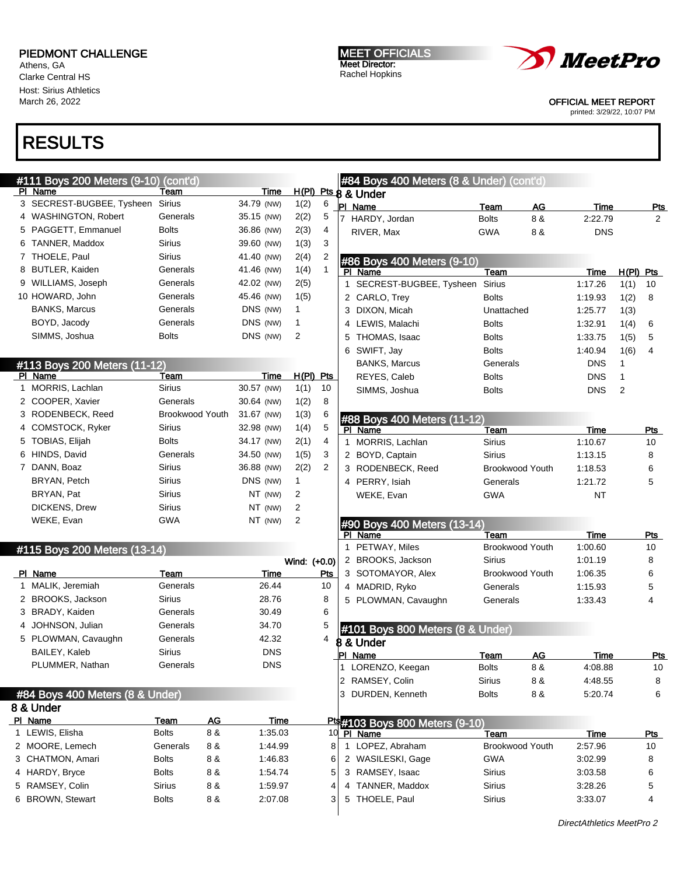Athens, GA Clarke Central HS Host: Sirius Athletics March 26, 2022

# RESULTS

|   | #111 Boys 200 Meters (9-10)<br>PI Name  | (cont'd)<br>Team       | Time        |              |              | #84 Boys 400 Meters (8 & Under) (cont'd)<br>H(PI) Pts 8 & Under |                       |                        |                 |                        |
|---|-----------------------------------------|------------------------|-------------|--------------|--------------|-----------------------------------------------------------------|-----------------------|------------------------|-----------------|------------------------|
|   | 3 SECREST-BUGBEE, Tysheen Sirius        |                        | 34.79 (NW)  | 1(2)         | 6            | PI Name                                                         | Team                  | <b>AG</b>              | Time            | <u>Pts</u>             |
|   | 4 WASHINGTON, Robert                    | Generals               | 35.15 (NW)  | 2(2)         | 5            | HARDY, Jordan                                                   | <b>Bolts</b>          | 8 &                    | 2:22.79         | $\overline{2}$         |
|   | 5 PAGGETT, Emmanuel                     | <b>Bolts</b>           | 36.86 (NW)  | 2(3)         | 4            | RIVER, Max                                                      | <b>GWA</b>            | 8 &                    | <b>DNS</b>      |                        |
|   | 6 TANNER, Maddox                        | <b>Sirius</b>          | 39.60 (NW)  | 1(3)         | 3            |                                                                 |                       |                        |                 |                        |
|   | 7 THOELE, Paul                          | <b>Sirius</b>          | 41.40 (NW)  | 2(4)         | 2            |                                                                 |                       |                        |                 |                        |
|   | 8 BUTLER, Kaiden                        | Generals               | 41.46 (NW)  | 1(4)         | $\mathbf{1}$ | #86 Boys 400 Meters (9-10)<br>PI Name                           | Team                  |                        | <b>Time</b>     | $H(PI)$ Pts            |
|   | 9 WILLIAMS, Joseph                      | Generals               | 42.02 (NW)  | 2(5)         |              | 1 SECREST-BUGBEE, Tysheen Sirius                                |                       |                        | 1:17.26         | 1(1)<br>10             |
|   | 10 HOWARD, John                         | Generals               | 45.46 (NW)  | 1(5)         |              | 2 CARLO, Trey                                                   | <b>Bolts</b>          |                        | 1:19.93         | 1(2)<br>8              |
|   | <b>BANKS, Marcus</b>                    | Generals               | DNS (NW)    | $\mathbf{1}$ |              | 3 DIXON, Micah                                                  | Unattached            |                        | 1:25.77         | 1(3)                   |
|   | BOYD, Jacody                            | Generals               | DNS (NW)    | 1            |              | 4 LEWIS, Malachi                                                | <b>Bolts</b>          |                        | 1:32.91         | 1(4)<br>6              |
|   | SIMMS, Joshua                           | <b>Bolts</b>           | DNS (NW)    | 2            |              | 5 THOMAS, Isaac                                                 | <b>Bolts</b>          |                        | 1:33.75         | 1(5)<br>5              |
|   |                                         |                        |             |              |              | 6 SWIFT, Jay                                                    | <b>Bolts</b>          |                        | 1:40.94         | 1(6)<br>$\overline{4}$ |
|   |                                         |                        |             |              |              | <b>BANKS, Marcus</b>                                            | Generals              |                        | <b>DNS</b>      | 1                      |
|   | #113 Boys 200 Meters (11-12)<br>PI Name | Team                   | Time        | $H(PI)$ Pts  |              | REYES, Caleb                                                    | <b>Bolts</b>          |                        | <b>DNS</b>      | 1                      |
| 1 | MORRIS, Lachlan                         | Sirius                 | 30.57 (NW)  | 1(1)         | 10           | SIMMS, Joshua                                                   | <b>Bolts</b>          |                        | <b>DNS</b>      | $\overline{2}$         |
|   | 2 COOPER, Xavier                        | Generals               | 30.64 (NW)  | 1(2)         | 8            |                                                                 |                       |                        |                 |                        |
|   | 3 RODENBECK, Reed                       | <b>Brookwood Youth</b> | 31.67 (NW)  | 1(3)         | 6            |                                                                 |                       |                        |                 |                        |
| 4 | <b>COMSTOCK, Ryker</b>                  | <b>Sirius</b>          | 32.98 (NW)  | 1(4)         | 5            | #88 Boys 400 Meters (11-12)                                     |                       |                        |                 |                        |
|   | 5 TOBIAS, Elijah                        | <b>Bolts</b>           | 34.17 (NW)  | 2(1)         | 4            | PI Name                                                         | Team<br><b>Sirius</b> |                        | Time<br>1:10.67 | Pts                    |
|   | 6 HINDS, David                          | Generals               | 34.50 (NW)  | 1(5)         | 3            | 1 MORRIS, Lachlan                                               |                       |                        |                 | 10                     |
|   | 7 DANN, Boaz                            | Sirius                 | 36.88 (NW)  | 2(2)         | 2            | 2 BOYD, Captain                                                 | <b>Sirius</b>         |                        | 1:13.15         | 8                      |
|   | BRYAN, Petch                            | Sirius                 | DNS (NW)    |              |              | 3 RODENBECK, Reed                                               |                       | <b>Brookwood Youth</b> | 1:18.53         | 6                      |
|   |                                         |                        |             | $\mathbf{1}$ |              | 4 PERRY, Isiah                                                  | Generals              |                        | 1:21.72         | 5                      |
|   | BRYAN, Pat                              | Sirius                 | NT (NW)     | 2            |              | WEKE, Evan                                                      | <b>GWA</b>            |                        | <b>NT</b>       |                        |
|   | DICKENS, Drew                           | Sirius                 | NT (NW)     | 2            |              |                                                                 |                       |                        |                 |                        |
|   | WEKE, Evan                              | GWA                    | NT (NW)     | 2            |              | #90 Boys 400 Meters (13-14)                                     |                       |                        |                 |                        |
|   |                                         |                        |             |              |              | PI Name                                                         | Team                  |                        | <b>Time</b>     | Pts                    |
|   | #115 Boys 200 Meters (13-14)            |                        |             |              |              | 1 PETWAY, Miles                                                 |                       | Brookwood Youth        | 1:00.60         | 10                     |
|   |                                         |                        |             | Wind: (+0.0) |              | 2 BROOKS, Jackson                                               | <b>Sirius</b>         |                        | 1:01.19         | 8                      |
|   | PI Name                                 | Team                   | <b>Time</b> |              | Pts          | 3 SOTOMAYOR, Alex                                               |                       | <b>Brookwood Youth</b> | 1:06.35         | 6                      |
|   | 1 MALIK, Jeremiah                       | Generals               | 26.44       |              | 10           | 4 MADRID, Ryko                                                  | Generals              |                        | 1:15.93         | 5                      |
|   | 2 BROOKS, Jackson                       | <b>Sirius</b>          | 28.76       |              | 8            | 5 PLOWMAN, Cavaughn                                             | Generals              |                        | 1:33.43         | $\overline{4}$         |
|   | 3 BRADY, Kaiden                         | Generals               | 30.49       |              | 6            |                                                                 |                       |                        |                 |                        |
|   | 4 JOHNSON, Julian                       | Generals               | 34.70       |              | 5            | #101 Boys 800 Meters (8 & Under)                                |                       |                        |                 |                        |
|   | 5 PLOWMAN, Cavaughn                     | Generals               | 42.32       |              | 4            | 8 & Under                                                       |                       |                        |                 |                        |
|   | BAILEY, Kaleb                           | Sirius                 | <b>DNS</b>  |              |              | <b>PI Name</b>                                                  | Team                  | AG                     | Time            | Pts                    |
|   | PLUMMER, Nathan                         | Generals               | <b>DNS</b>  |              |              | LORENZO, Keegan                                                 | <b>Bolts</b>          | 8 &                    | 4:08.88         | 10                     |
|   |                                         |                        |             |              |              | 2 RAMSEY, Colin                                                 | <b>Sirius</b>         | 8 &                    | 4:48.55         | 8                      |
|   | #84 Boys 400 Meters (8 & Under)         |                        |             |              |              | 3 DURDEN, Kenneth                                               | <b>Bolts</b>          | 8 &                    | 5:20.74         | 6                      |
|   | 8 & Under                               |                        |             |              |              |                                                                 |                       |                        |                 |                        |
|   | PI Name                                 | AG<br><b>Team</b>      | <b>Time</b> |              |              | <b>Pt:</b> #103 Boys 800 Meters (9-10)                          |                       |                        |                 |                        |
|   | 1 LEWIS, Elisha                         | 8 &<br><b>Bolts</b>    | 1:35.03     |              |              | 10 PI Name                                                      | Team                  |                        | <b>Time</b>     | <b>Pts</b>             |
|   | 2 MOORE, Lemech                         | Generals<br>8 &        | 1:44.99     |              | 8            | 1 LOPEZ, Abraham                                                |                       | Brookwood Youth        | 2:57.96         | 10                     |
|   | 3 CHATMON, Amari                        | <b>Bolts</b><br>8 &    | 1:46.83     |              | 6            | 2 WASILESKI, Gage                                               | <b>GWA</b>            |                        | 3:02.99         | 8                      |
|   | 4 HARDY, Bryce                          | <b>Bolts</b><br>8 &    | 1:54.74     |              | 5            | 3 RAMSEY, Isaac                                                 | <b>Sirius</b>         |                        | 3:03.58         | 6                      |
|   | 5 RAMSEY, Colin                         | 8 &<br><b>Sirius</b>   | 1:59.97     |              | 4            | 4 TANNER, Maddox                                                | Sirius                |                        | 3:28.26         | 5                      |
|   | 6 BROWN, Stewart                        | 8 &<br><b>Bolts</b>    | 2:07.08     |              | 3            | 5 THOELE, Paul                                                  | Sirius                |                        | 3:33.07         | 4                      |

MEET OFFICIALS Meet Director: Rachel Hopkins

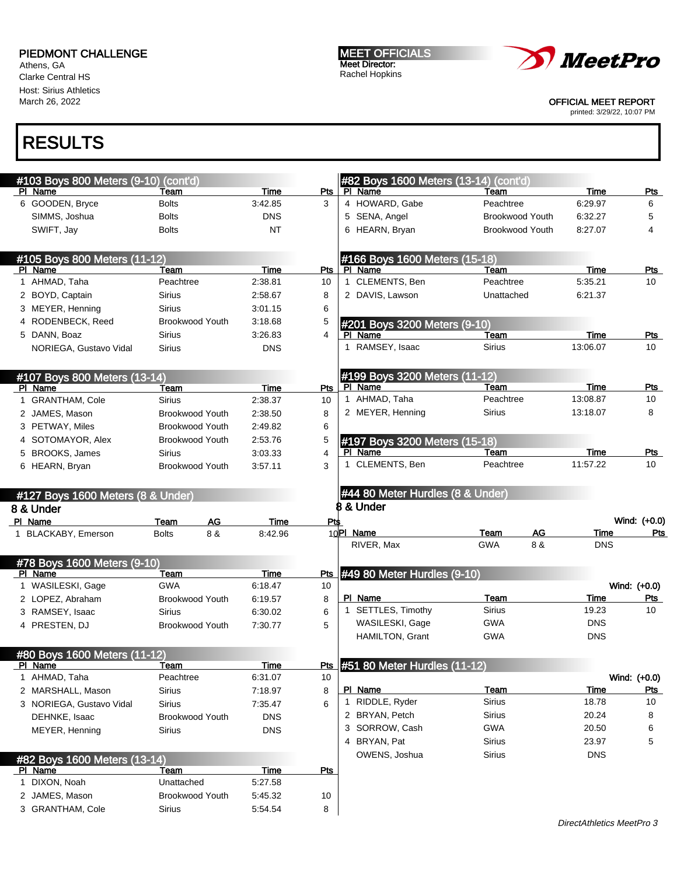Athens, GA Clarke Central HS Host: Sirius Athletics March 26, 2022

MEET OFFICIALS Meet Director: Rachel Hopkins



OFFICIAL MEET REPORT

printed: 3/29/22, 10:07 PM

| #103 Boys 800 Meters (9-10) (cont'd) |                                   |                    |                | #82 Boys 1600 Meters (13-14) (cont'd                     |                        |                     |                     |
|--------------------------------------|-----------------------------------|--------------------|----------------|----------------------------------------------------------|------------------------|---------------------|---------------------|
| PI Name                              | Team                              | Time               | Pts            | PI Name                                                  | Team                   | Time                | Pts                 |
| 6 GOODEN, Bryce                      | <b>Bolts</b>                      | 3:42.85            | 3              | 4 HOWARD, Gabe                                           | Peachtree              | 6:29.97             | 6                   |
| SIMMS, Joshua                        | <b>Bolts</b>                      | <b>DNS</b>         |                | 5 SENA, Angel                                            | <b>Brookwood Youth</b> | 6:32.27             | 5                   |
| SWIFT, Jay                           | <b>Bolts</b>                      | <b>NT</b>          |                | 6 HEARN, Bryan                                           | <b>Brookwood Youth</b> | 8:27.07             | 4                   |
| #105 Boys 800 Meters (11-12)         |                                   |                    |                | #166 Boys 1600 Meters (15-18)                            |                        |                     |                     |
| PI Name                              | Team                              | Time               | Pts            | PI Name                                                  | Team                   | <b>Time</b>         | Pts                 |
| 1 AHMAD, Taha                        | Peachtree                         | 2:38.81            | 10             | 1 CLEMENTS, Ben                                          | Peachtree              | 5:35.21             | 10                  |
| 2 BOYD, Captain                      | Sirius                            | 2:58.67            | 8              | 2 DAVIS, Lawson                                          | Unattached             | 6:21.37             |                     |
| 3 MEYER, Henning                     | Sirius                            | 3:01.15            | 6              |                                                          |                        |                     |                     |
| 4 RODENBECK, Reed                    | <b>Brookwood Youth</b>            | 3:18.68            | 5              | #201 Boys 3200 Meters (9-10)                             |                        |                     |                     |
| 5 DANN, Boaz                         | Sirius                            | 3:26.83            | $\overline{4}$ | PI Name                                                  | Team                   | Time                | Pts                 |
| NORIEGA, Gustavo Vidal               | Sirius                            | <b>DNS</b>         |                | RAMSEY, Isaac<br>1                                       | Sirius                 | 13:06.07            | 10                  |
| #107 Boys 800 Meters (13-14)         |                                   |                    |                | #199 Boys 3200 Meters (11-12)                            |                        |                     |                     |
| PI Name                              | Team                              | Time               | Pts            | PI Name                                                  | Team                   | Time                | <u>Pts</u>          |
| 1 GRANTHAM, Cole                     | <b>Sirius</b>                     | 2:38.37            | 10             | 1 AHMAD, Taha                                            | Peachtree              | 13:08.87            | 10                  |
| 2 JAMES, Mason                       | Brookwood Youth                   | 2:38.50            | 8              | 2 MEYER, Henning                                         | Sirius                 | 13:18.07            | 8                   |
| 3 PETWAY, Miles                      | <b>Brookwood Youth</b>            | 2:49.82            | 6              |                                                          |                        |                     |                     |
| 4 SOTOMAYOR, Alex                    | Brookwood Youth                   | 2:53.76            | 5              | #197 Boys 3200 Meters (15-18)                            |                        |                     |                     |
| 5 BROOKS, James                      | <b>Sirius</b>                     | 3:03.33            | $\overline{4}$ | PI Name                                                  | Team                   | <b>Time</b>         | <b>Pts</b>          |
| 6 HEARN, Bryan                       | <b>Brookwood Youth</b>            | 3:57.11            | 3              | 1 CLEMENTS, Ben                                          | Peachtree              | 11:57.22            | 10                  |
|                                      |                                   |                    |                |                                                          |                        |                     |                     |
|                                      |                                   |                    |                |                                                          |                        |                     |                     |
| #127 Boys 1600 Meters (8 & Under)    |                                   |                    |                | #44 80 Meter Hurdles (8 & Under)<br><b>B &amp; Under</b> |                        |                     |                     |
| 8 & Under                            |                                   |                    |                |                                                          |                        |                     |                     |
| PI Name<br>1 BLACKABY, Emerson       | AG<br>Team<br>8 &<br><b>Bolts</b> | Time<br>8:42.96    | Pts            | 10PI Name                                                | <b>AG</b><br>Team      | Time                | Wind: (+0.0)<br>Pts |
|                                      |                                   |                    |                | RIVER, Max                                               | 8 &<br><b>GWA</b>      | <b>DNS</b>          |                     |
| #78 Boys 1600 Meters (9-10)          |                                   |                    |                |                                                          |                        |                     |                     |
| PI Name                              | Team                              | Time               | Pts            | #49 80 Meter Hurdles (9-10)                              |                        |                     |                     |
| 1 WASILESKI, Gage                    | <b>GWA</b>                        | 6:18.47            | 10             |                                                          |                        |                     | Wind: (+0.0)        |
| 2 LOPEZ, Abraham                     | <b>Brookwood Youth</b>            | 6:19.57            | 8              | PI Name                                                  | Team                   | Time                | <b>Pts</b>          |
| 3 RAMSEY, Isaac                      | <b>Sirius</b>                     | 6:30.02            | 6              | 1 SETTLES, Timothy                                       | <b>Sirius</b>          | 19.23               | 10                  |
| 4 PRESTEN, DJ                        | <b>Brookwood Youth</b>            | 7:30.77            | 5              | WASILESKI, Gage                                          | GWA                    | <b>DNS</b>          |                     |
|                                      |                                   |                    |                | HAMILTON, Grant                                          | <b>GWA</b>             | <b>DNS</b>          |                     |
| #80 Boys 1600 Meters (11-12)         |                                   |                    |                |                                                          |                        |                     |                     |
| <u>PI Name</u>                       | <u>Team</u>                       | <u>Time</u>        | <u>Pts</u>     | #51 80 Meter Hurdles (11-12)                             |                        |                     |                     |
| 1 AHMAD, Taha                        | Peachtree                         | 6:31.07            | 10             |                                                          |                        |                     | Wind: (+0.0)        |
| 2 MARSHALL, Mason                    | <b>Sirius</b>                     | 7:18.97            | 8              | PI_Name<br>1 RIDDLE, Ryder                               | Team<br>Sirius         | Time<br>18.78       | Pts<br>10           |
| 3 NORIEGA, Gustavo Vidal             | Sirius                            | 7:35.47            | 6              | 2 BRYAN, Petch                                           |                        | 20.24               | 8                   |
| DEHNKE, Isaac                        | <b>Brookwood Youth</b>            | <b>DNS</b>         |                |                                                          | Sirius                 |                     |                     |
| MEYER, Henning                       | Sirius                            | <b>DNS</b>         |                | 3 SORROW, Cash                                           | <b>GWA</b>             | 20.50               | 6<br>5              |
|                                      |                                   |                    |                | 4 BRYAN, Pat<br>OWENS, Joshua                            | <b>Sirius</b>          | 23.97<br><b>DNS</b> |                     |
| #82 Boys 1600 Meters (13-14)         |                                   |                    |                |                                                          | Sirius                 |                     |                     |
| PI Name                              | Team                              | <b>Time</b>        | Pts            |                                                          |                        |                     |                     |
| 1 DIXON, Noah                        | Unattached                        | 5:27.58            |                |                                                          |                        |                     |                     |
| 2 JAMES, Mason<br>3 GRANTHAM, Cole   | Brookwood Youth<br>Sirius         | 5:45.32<br>5.54.54 | 10<br>8        |                                                          |                        |                     |                     |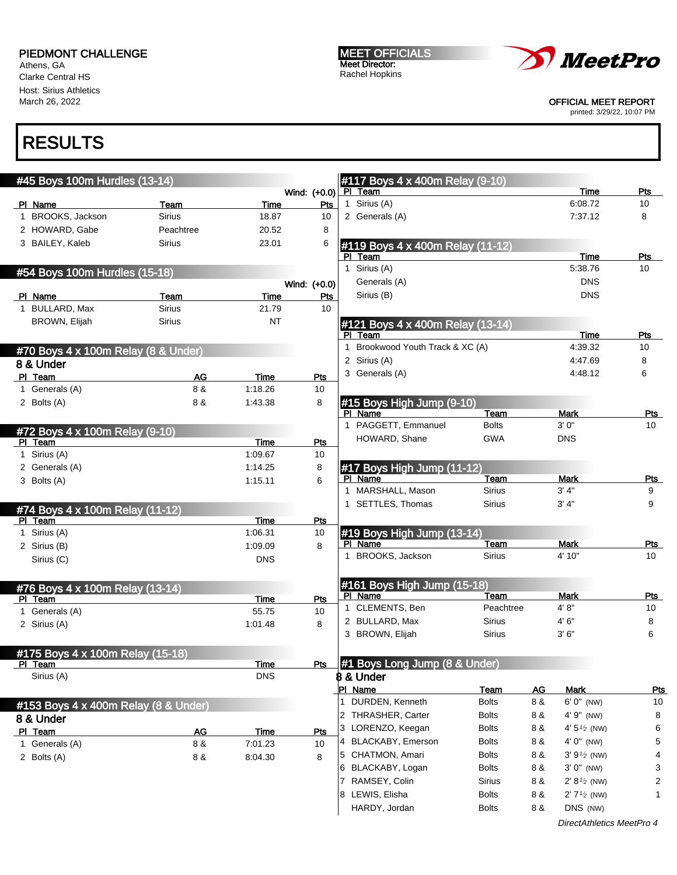Athens, GA Clarke Central HS Host: Sirius Athletics March 26, 2022

MEET OFFICIALS Meet Director: Rachel Hopkins



OFFICIAL MEET REPORT

printed: 3/29/22, 10:07 PM

## RESULTS

| #45 Boys 100m Hurdles (13-14)             |                       |                 |              | #117 Boys 4 x 400m Relay (9-10)             |                              |                  |                                      |            |
|-------------------------------------------|-----------------------|-----------------|--------------|---------------------------------------------|------------------------------|------------------|--------------------------------------|------------|
|                                           |                       |                 | Wind: (+0.0) | PI Team                                     |                              |                  | Time                                 | Pts        |
| PI Name                                   | Team                  | Time            | Pts          | 1 Sirius (A)                                |                              |                  | 6:08.72                              | 10         |
| 1 BROOKS, Jackson                         | <b>Sirius</b>         | 18.87           | 10           | 2 Generals (A)                              |                              |                  | 7:37.12                              | 8          |
| 2 HOWARD, Gabe                            | Peachtree             | 20.52           | 8            |                                             |                              |                  |                                      |            |
| 3 BAILEY, Kaleb                           | <b>Sirius</b>         | 23.01           | 6            | #119 Boys 4 x 400m Relay (11-12)            |                              |                  |                                      |            |
|                                           |                       |                 |              | PI Team                                     |                              |                  | <b>Time</b><br>5:38.76               | Pts<br>10  |
| #54 Boys 100m Hurdles (15-18)             |                       |                 |              | 1 Sirius (A)                                |                              |                  | <b>DNS</b>                           |            |
|                                           |                       |                 | Wind: (+0.0) | Generals (A)                                |                              |                  |                                      |            |
| PI Name<br>1 BULLARD, Max                 | Team<br><b>Sirius</b> | Time<br>21.79   | Pts<br>10    | Sirius (B)                                  |                              |                  | <b>DNS</b>                           |            |
| <b>BROWN, Elijah</b>                      |                       |                 |              |                                             |                              |                  |                                      |            |
|                                           | <b>Sirius</b>         | NT              |              | #121 Boys 4 x 400m Relay (13-14)<br>PI Team |                              |                  | Time                                 | Pts        |
|                                           |                       |                 |              | 1 Brookwood Youth Track & XC (A)            |                              |                  | 4:39.32                              | 10         |
| #70 Boys 4 x 100m Relay (8 & Under)       |                       |                 |              | 2 Sirius (A)                                |                              |                  | 4:47.69                              | 8          |
| 8 & Under                                 |                       |                 |              | 3 Generals (A)                              |                              |                  | 4:48.12                              | 6          |
| PI Team<br>1 Generals (A)                 | <b>AG</b><br>8 &      | Time<br>1:18.26 | Pts<br>10    |                                             |                              |                  |                                      |            |
| 2 Bolts (A)                               | 8 &                   | 1:43.38         | 8            | #15 Boys High Jump (9-10)                   |                              |                  |                                      |            |
|                                           |                       |                 |              | PI Name                                     | Team                         |                  | <b>Mark</b>                          | Pts        |
|                                           |                       |                 |              | 1 PAGGETT, Emmanuel                         | <b>Bolts</b>                 |                  | 3'0''                                | 10         |
| #72 Boys 4 x 100m Relay (9-10)<br>PI Team |                       | Time            | <b>Pts</b>   | HOWARD, Shane                               | <b>GWA</b>                   |                  | <b>DNS</b>                           |            |
| 1 Sirius (A)                              |                       | 1:09.67         | 10           |                                             |                              |                  |                                      |            |
| 2 Generals (A)                            |                       | 1:14.25         | 8            | #17 Boys High Jump (11-12)                  |                              |                  |                                      |            |
| 3 Bolts (A)                               |                       | 1:15.11         | 6            | PI Name                                     | Team                         |                  | <b>Mark</b>                          | Pts        |
|                                           |                       |                 |              | 1 MARSHALL, Mason                           | <b>Sirius</b>                |                  | 3' 4''                               | 9          |
| #74 Boys 4 x 100m Relay (11-12)           |                       |                 |              | 1 SETTLES, Thomas                           | <b>Sirius</b>                |                  | 3' 4''                               | 9          |
| PI Team                                   |                       | Time            | Pts          |                                             |                              |                  |                                      |            |
| 1 Sirius (A)                              |                       | 1:06.31         | 10           | #19 Boys High Jump (13-14)                  |                              |                  |                                      |            |
| 2 Sirius (B)                              |                       | 1:09.09         | 8            | PI Name                                     | Team                         |                  | <b>Mark</b>                          | Pts        |
| Sirius (C)                                |                       | <b>DNS</b>      |              | 1 BROOKS, Jackson                           | <b>Sirius</b>                |                  | 4' 10"                               | 10         |
|                                           |                       |                 |              |                                             |                              |                  |                                      |            |
| #76 Boys 4 x 100m Relay (13-14)           |                       |                 |              | #161 Boys High Jump (15-18)                 |                              |                  |                                      |            |
| PI Team                                   |                       | Time            | Pts          | PI Name                                     | Team                         |                  | <b>Mark</b>                          | Pts        |
| 1 Generals (A)                            |                       | 55.75           | 10           | 1 CLEMENTS, Ben                             | Peachtree                    |                  | 4'8"                                 | 10         |
| 2 Sirius (A)                              |                       | 1:01.48         | 8            | 2 BULLARD, Max<br>3 BROWN, Elijah           | Sirius                       |                  | 4' 6"                                | 8          |
|                                           |                       |                 |              |                                             | <b>Sirius</b>                |                  | 3'6''                                | 6          |
| #175 Boys 4 x 100m Relay (15-18)          |                       |                 |              |                                             |                              |                  |                                      |            |
| PI Team                                   |                       | Time            | Pts          | #1 Bovs Long Jump (8 & Under)               |                              |                  |                                      |            |
| Sirius (A)                                |                       | <b>DNS</b>      |              | ₿ & Under                                   |                              |                  |                                      |            |
|                                           |                       |                 |              | PI Name<br>1 DURDEN, Kenneth                | Team<br><b>Bolts</b>         | <b>AG</b><br>8 & | <b>Mark</b><br>6' 0" (NW)            | <u>Pts</u> |
| #153 Boys 4 x 400m Relay (8 & Under)      |                       |                 |              | 2 THRASHER, Carter                          |                              |                  |                                      | 10         |
| 8 & Under                                 |                       |                 |              | 3 LORENZO, Keegan                           | <b>Bolts</b><br><b>Bolts</b> | 8 &<br>8 &       | 4' 9" (NW)<br>4' $5\frac{1}{2}$ (NW) | 8<br>6     |
| PI Team                                   | AG                    | <b>Time</b>     | Pts          | 4 BLACKABY, Emerson                         | <b>Bolts</b>                 | 8 &              | $4' 0''$ (NW)                        | 5          |
| 1 Generals (A)                            | 8 &                   | 7:01.23         | 10           | 5 CHATMON, Amari                            | <b>Bolts</b>                 | 8 &              | $3'9'2$ (NW)                         | 4          |
| 2 Bolts (A)                               | 8 &                   | 8:04.30         | 8            | 6 BLACKABY, Logan                           | <b>Bolts</b>                 | 8 &              | $3' 0''$ (NW)                        | 3          |
|                                           |                       |                 |              | 7 RAMSEY, Colin                             | <b>Sirius</b>                | 8 &              | $2' 8 \frac{1}{2}$ (NW)              | 2          |
|                                           |                       |                 |              | 8 LEWIS, Elisha                             | <b>Bolts</b>                 | 8 &              | $2'$ 7 <sup>1/2</sup> (NW)           | 1          |
|                                           |                       |                 |              | HARDY, Jordan                               | <b>Bolts</b>                 | 8 &              | DNS (NW)                             |            |
|                                           |                       |                 |              |                                             |                              |                  |                                      |            |

DirectAthletics MeetPro 4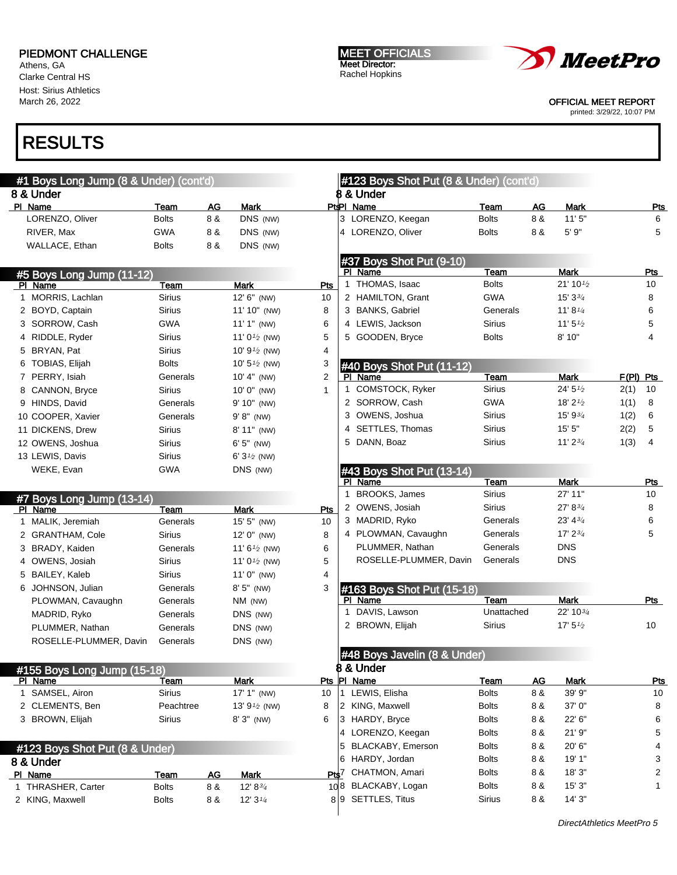Athens, GA Clarke Central HS Host: Sirius Athletics March 26, 2022

# RESULTS

| #1 Boys Long Jump (8 & Under) (cont'd) |                             |           |                                   |                |              | #123 Boys Shot Put (8 & Under) (cont'd) |               |     |                                   |      |                |
|----------------------------------------|-----------------------------|-----------|-----------------------------------|----------------|--------------|-----------------------------------------|---------------|-----|-----------------------------------|------|----------------|
| 8 & Under                              |                             |           |                                   |                |              | 8 & Under                               |               |     |                                   |      |                |
| PI Name                                | Team                        | AG        | <b>Mark</b>                       |                |              | PtPI Name                               | Team          | AG  | Mark                              |      | <u>Pts</u>     |
| LORENZO, Oliver                        | <b>Bolts</b>                | 8 &       | DNS (NW)                          |                |              | 3 LORENZO, Keegan                       | <b>Bolts</b>  | 8 & | 11'5''                            |      | 6              |
| RIVER, Max                             | <b>GWA</b>                  | 8 &       | DNS (NW)                          |                |              | 4 LORENZO, Oliver                       | <b>Bolts</b>  | 8 & | 5' 9"                             |      | 5              |
| WALLACE, Ethan                         | <b>Bolts</b>                | 8 &       | DNS (NW)                          |                |              |                                         |               |     |                                   |      |                |
|                                        |                             |           |                                   |                |              | #37 Boys Shot Put (9-10)                |               |     |                                   |      |                |
| #5 Boys Long Jump (11-12)              |                             |           |                                   |                |              | PI Name                                 | Team          |     | <b>Mark</b>                       |      | Pts            |
| PI Name                                | Team                        |           | <b>Mark</b>                       | Pts            |              | 1 THOMAS, Isaac                         | <b>Bolts</b>  |     | $21'$ 10 $\frac{1}{2}$            |      | 10             |
| 1 MORRIS, Lachlan                      | <b>Sirius</b>               |           | 12' 6" (NW)                       | 10             |              | 2 HAMILTON, Grant                       | <b>GWA</b>    |     | $15'3\frac{3}{4}$                 |      | 8              |
| 2 BOYD, Captain                        | <b>Sirius</b>               |           | 11' 10" (NW)                      | 8              |              | 3 BANKS, Gabriel                        | Generals      |     | $11' 8\frac{1}{4}$                |      | 6              |
| 3 SORROW, Cash                         | <b>GWA</b>                  |           | $11'1''$ (NW)                     | 6              |              | 4 LEWIS, Jackson                        | <b>Sirius</b> |     | 11' $5\frac{1}{2}$                |      | 5              |
| 4 RIDDLE, Ryder                        | <b>Sirius</b>               |           | 11' $0\frac{1}{2}$ (NW)           | 5              |              | 5 GOODEN, Bryce                         | <b>Bolts</b>  |     | 8' 10"                            |      | 4              |
| 5 BRYAN, Pat                           | <b>Sirius</b>               |           | 10' $9\frac{1}{2}$ (NW)           | 4              |              |                                         |               |     |                                   |      |                |
| TOBIAS, Elijah                         | <b>Bolts</b>                |           | 10' $5\frac{1}{2}$ (NW)           | 3              |              | #40 Boys Shot Put (11-12)               |               |     |                                   |      |                |
| 7 PERRY, Isiah                         | Generals                    |           | 10' 4" (NW)                       | $\overline{2}$ |              | PI Name                                 | Team          |     | <b>Mark</b>                       |      | $F(PI)$ Pts    |
| 8 CANNON, Bryce                        | Sirius                      |           | $10' 0''$ (NW)                    | $\mathbf{1}$   | 1            | <b>COMSTOCK, Ryker</b>                  | <b>Sirius</b> |     | 24' 5'' <sub>2</sub>              | 2(1) | 10             |
| 9 HINDS, David                         | Generals                    |           | 9' 10" (NW)                       |                |              | 2 SORROW, Cash                          | <b>GWA</b>    |     | 18' $2\frac{1}{2}$                | 1(1) | 8              |
| 10 COOPER, Xavier                      | Generals                    |           | $9' 8''$ (NW)                     |                |              | 3 OWENS, Joshua                         | <b>Sirius</b> |     | 15' 9 <sup>3</sup> / <sub>4</sub> | 1(2) | 6              |
| 11 DICKENS, Drew                       | <b>Sirius</b>               |           | $8' 11''$ (NW)                    |                |              | 4 SETTLES, Thomas                       | <b>Sirius</b> |     | 15'5''                            | 2(2) | 5              |
| 12 OWENS, Joshua                       | <b>Sirius</b>               |           | $6'5''$ (NW)                      |                |              | 5 DANN, Boaz                            | <b>Sirius</b> |     | $11'$ $2\frac{3}{4}$              | 1(3) | $\overline{4}$ |
| 13 LEWIS, Davis                        | <b>Sirius</b>               |           | 6' $3\frac{1}{2}$ (NW)            |                |              |                                         |               |     |                                   |      |                |
| WEKE, Evan                             | <b>GWA</b>                  |           | DNS (NW)                          |                |              | #43 Boys Shot Put (13-14)               |               |     |                                   |      |                |
|                                        |                             |           |                                   |                |              | PI Name                                 | Team          |     | <b>Mark</b>                       |      | Pts            |
| #7 Boys Long Jump (13-14)              |                             |           |                                   |                | $\mathbf{1}$ | BROOKS, James                           | <b>Sirius</b> |     | 27' 11"                           |      | 10             |
| PI Name                                | Team                        |           | <b>Mark</b>                       | Pts            |              | 2 OWENS, Josiah                         | Sirius        |     | 27' 8 <sup>3</sup> / <sub>4</sub> |      | 8              |
| 1 MALIK, Jeremiah                      | Generals                    |           | 15' 5" (NW)                       | 10             |              | 3 MADRID, Ryko                          | Generals      |     | 23' 43'                           |      | 6              |
| 2 GRANTHAM, Cole                       | <b>Sirius</b>               |           | $12' 0''$ (NW)                    | 8              |              | 4 PLOWMAN, Cavaughn                     | Generals      |     | 17' 2 <sup>3</sup> / <sub>4</sub> |      | 5              |
| 3 BRADY, Kaiden                        | Generals                    |           | 11' $6\frac{1}{2}$ (NW)           | 6              |              | PLUMMER, Nathan                         | Generals      |     | <b>DNS</b>                        |      |                |
| 4 OWENS, Josiah                        | <b>Sirius</b>               |           | 11' $0\frac{1}{2}$ (NW)           | 5              |              | ROSELLE-PLUMMER, Davin                  | Generals      |     | <b>DNS</b>                        |      |                |
| 5 BAILEY, Kaleb                        | Sirius                      |           | $11'0''$ (NW)                     | 4              |              |                                         |               |     |                                   |      |                |
| 6 JOHNSON, Julian                      | Generals                    |           | $8'5''$ (NW)                      | 3              |              | #163 Boys Shot Put (15-18)              |               |     |                                   |      |                |
| PLOWMAN, Cavaughn                      | Generals                    |           | NM (NW)                           |                |              | PI Name                                 | Team          |     | <b>Mark</b>                       |      | Pts            |
| MADRID, Ryko                           | Generals                    |           | DNS (NW)                          |                | $\mathbf{1}$ | DAVIS, Lawson                           | Unattached    |     | 22' 103/4                         |      |                |
| PLUMMER, Nathan                        | Generals                    |           | DNS (NW)                          |                |              | 2 BROWN, Elijah                         | <b>Sirius</b> |     | 17' 5'' <sub>2</sub>              |      | 10             |
| ROSELLE-PLUMMER, Davin                 | Generals                    |           | DNS (NW)                          |                |              |                                         |               |     |                                   |      |                |
|                                        |                             |           |                                   |                |              | #48 Boys Javelin (8 & Under)            |               |     |                                   |      |                |
| #155 Boys Long Jump (15-18)            |                             |           |                                   |                |              | <b>8 &amp; Under</b>                    |               |     |                                   |      |                |
| PI Name                                | <u>Team</u>                 |           | Mark                              |                |              | Pts PI Name                             | <b>Team</b>   | AG  | Mark                              |      | <b>Pts</b>     |
| 1 SAMSEL, Airon                        | Sirius                      |           | 17' 1" (NW)                       | 10             |              | 1 LEWIS, Elisha                         | <b>Bolts</b>  | 8 & | 39' 9"                            |      | 10             |
| 2 CLEMENTS, Ben                        | Peachtree                   |           | 13' $9\frac{1}{2}$ (NW)           | 8              |              | 2 KING, Maxwell                         | <b>Bolts</b>  | 8 & | 37' 0"                            |      | 8              |
| 3 BROWN, Elijah                        | Sirius                      |           | 8' 3" (NW)                        | 6              |              | 3 HARDY, Bryce                          | <b>Bolts</b>  | 8 & | 22' 6"                            |      | 6              |
|                                        |                             |           |                                   |                |              | 4 LORENZO, Keegan                       | <b>Bolts</b>  | 8 & | 21'9''                            |      | 5              |
| #123 Boys Shot Put (8 & Under)         |                             |           |                                   |                |              | 5 BLACKABY, Emerson                     | <b>Bolts</b>  | 8 & | 20' 6"                            |      | 4              |
|                                        |                             |           |                                   |                |              | 6 HARDY, Jordan                         | <b>Bolts</b>  | 8 & | 19' 1"                            |      | 3              |
| 8 & Under                              |                             |           |                                   |                |              | Pts7 CHATMON, Amari                     | <b>Bolts</b>  | 8 & | 18'3"                             |      | 2              |
| PI Name<br>1 THRASHER, Carter          | <b>Team</b><br><b>Bolts</b> | AC<br>8 & | <b>Mark</b><br>12' $8\frac{3}{4}$ |                |              | 108 BLACKABY, Logan                     | <b>Bolts</b>  | 8 & | 15'3"                             |      | 1              |
| 2 KING, Maxwell                        | <b>Bolts</b>                | 8 &       | 12' $3\frac{1}{4}$                |                |              | 89 SETTLES, Titus                       | <b>Sirius</b> | 8 & | 14'3''                            |      |                |
|                                        |                             |           |                                   |                |              |                                         |               |     |                                   |      |                |

MEET OFFICIALS Meet Director: Rachel Hopkins



OFFICIAL MEET REPORT

printed: 3/29/22, 10:07 PM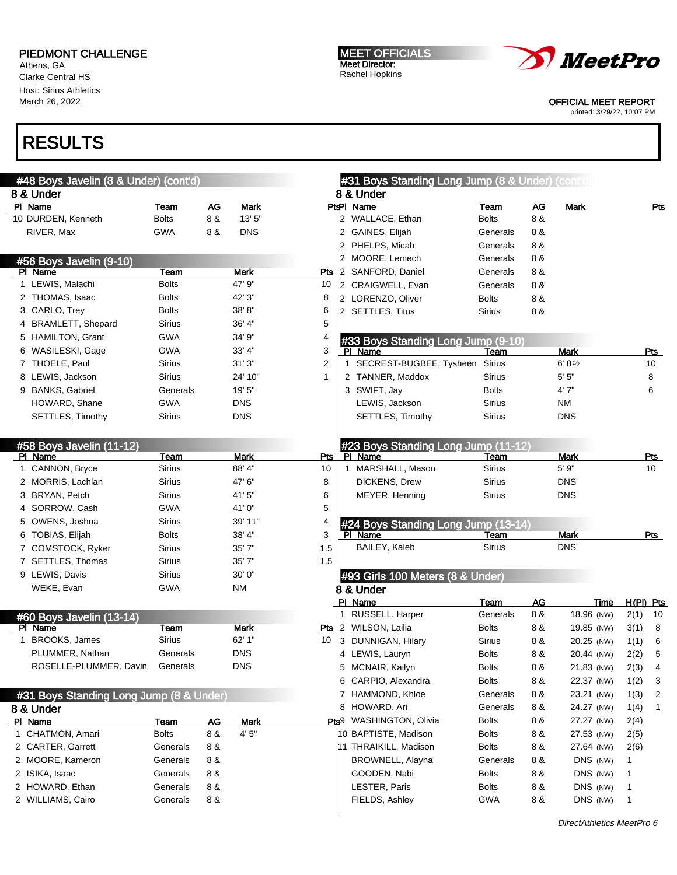Athens, GA Clarke Central HS Host: Sirius Athletics March 26, 2022

MEET OFFICIALS Meet Director: Rachel Hopkins



OFFICIAL MEET REPORT

printed: 3/29/22, 10:07 PM

| #48 Boys Javelin (8 & Under) (cont'd)   |                             |                  |                     |            | #31 Boys Standing Long Jump (8 & Under) (cont'd)               |                              |           |                          |             |
|-----------------------------------------|-----------------------------|------------------|---------------------|------------|----------------------------------------------------------------|------------------------------|-----------|--------------------------|-------------|
| 8 & Under                               |                             |                  |                     |            | 8 & Under                                                      |                              |           |                          |             |
| PI Name                                 | Team                        | AG               | <b>Mark</b>         |            | Pt <sup>i</sup> PI Name                                        | Team                         | AG        | <b>Mark</b>              | Pts         |
| 10 DURDEN, Kenneth                      | <b>Bolts</b>                | 8 &              | 13' 5"              |            | 2 WALLACE, Ethan                                               | <b>Bolts</b>                 | 8 &       |                          |             |
| RIVER, Max                              | <b>GWA</b>                  | 8 &              | <b>DNS</b>          |            | GAINES, Elijah<br>2                                            | Generals                     | 8 &       |                          |             |
|                                         |                             |                  |                     |            | 2 PHELPS, Micah                                                | Generals                     | 8 &       |                          |             |
| #56 Boys Javelin (9-10)                 |                             |                  |                     |            | 2 MOORE, Lemech                                                | Generals                     | 8 &       |                          |             |
| PI Name                                 | Team                        |                  | Mark                |            | Pts 2 SANFORD, Daniel                                          | Generals                     | 8 &       |                          |             |
| 1 LEWIS, Malachi                        | <b>Bolts</b>                |                  | 47' 9"              | 10         | 2 CRAIGWELL, Evan                                              | Generals                     | 8 &       |                          |             |
| 2 THOMAS, Isaac                         | <b>Bolts</b>                |                  | 42' 3"              | 8          | 2 LORENZO, Oliver                                              | <b>Bolts</b>                 | 8 &       |                          |             |
| 3 CARLO, Trey                           | <b>Bolts</b>                |                  | 38'8"               | 6          | 2 SETTLES, Titus                                               | Sirius                       | 8 &       |                          |             |
| 4 BRAMLETT, Shepard                     | Sirius                      |                  | 36' 4"              | 5          |                                                                |                              |           |                          |             |
| 5 HAMILTON, Grant                       | <b>GWA</b>                  |                  | 34' 9"              | 4          | #33 Boys Standing Long Jump (9-10)                             |                              |           |                          |             |
| 6 WASILESKI, Gage                       | <b>GWA</b>                  |                  | 33' 4"              | 3          | PI Name                                                        | Team                         |           | <b>Mark</b>              | Pts         |
| 7 THOELE, Paul                          | Sirius                      |                  | 31'3''              | 2          | 1 SECREST-BUGBEE, Tysheen                                      | Sirius                       |           | 6' 8'2                   | 10          |
| 8 LEWIS, Jackson                        | <b>Sirius</b>               |                  | 24' 10"             | 1          | 2 TANNER, Maddox                                               | <b>Sirius</b>                |           | 5' 5''                   | 8           |
| 9 BANKS, Gabriel                        | Generals                    |                  | 19' 5"              |            | 3 SWIFT, Jay                                                   | <b>Bolts</b>                 |           | 4' 7"                    | 6           |
| HOWARD, Shane                           | <b>GWA</b>                  |                  | <b>DNS</b>          |            | LEWIS, Jackson                                                 | Sirius                       |           | NM                       |             |
| SETTLES, Timothy                        | Sirius                      |                  | <b>DNS</b>          |            | SETTLES, Timothy                                               | Sirius                       |           | <b>DNS</b>               |             |
|                                         |                             |                  |                     |            |                                                                |                              |           |                          |             |
|                                         |                             |                  |                     |            |                                                                |                              |           |                          |             |
| #58 Boys Javelin (11-12)<br>PI Name     | Team                        |                  | Mark                | <b>Pts</b> | #23 Boys Standing Long Jump (11-12)<br>PI Name                 | Team                         |           | <b>Mark</b>              | Pts         |
| 1 CANNON, Bryce                         | Sirius                      |                  | 88' 4"              | 10         | 1 MARSHALL, Mason                                              | <b>Sirius</b>                |           | 5' 9"                    | 10          |
| 2 MORRIS, Lachlan                       | <b>Sirius</b>               |                  | 47' 6"              | 8          | DICKENS, Drew                                                  | Sirius                       |           | <b>DNS</b>               |             |
| 3 BRYAN, Petch                          | <b>Sirius</b>               |                  | 41'5"               | 6          | MEYER, Henning                                                 | Sirius                       |           | <b>DNS</b>               |             |
| 4 SORROW, Cash                          | <b>GWA</b>                  |                  | 41'0"               | 5          |                                                                |                              |           |                          |             |
| 5 OWENS, Joshua                         | <b>Sirius</b>               |                  | 39' 11"             | 4          | #24 Boys Standing Long Jump (13-14)                            |                              |           |                          |             |
| 6 TOBIAS, Elijah                        | <b>Bolts</b>                |                  | 38' 4"              | 3          | PI Name                                                        | Team                         |           | <b>Mark</b>              | Pts         |
| 7 COMSTOCK, Ryker                       | Sirius                      |                  | 35'7''              | 1.5        | BAILEY, Kaleb                                                  | <b>Sirius</b>                |           | <b>DNS</b>               |             |
| 7 SETTLES, Thomas                       | Sirius                      |                  | 35'7''              | 1.5        |                                                                |                              |           |                          |             |
| 9 LEWIS, Davis                          | <b>Sirius</b>               |                  | 30' 0"              |            | #93 Girls 100 Meters (8 & Under)                               |                              |           |                          |             |
| WEKE, Evan                              | <b>GWA</b>                  |                  | ΝM                  |            | <b>B &amp; Under</b>                                           |                              |           |                          |             |
|                                         |                             |                  |                     |            | <b>PI Name</b>                                                 | Team                         | <b>AG</b> | Time                     | $H(PI)$ Pts |
|                                         |                             |                  |                     |            | RUSSELL, Harper                                                | Generals                     | 8 &       | 18.96 (NW)               | 2(1)<br>10  |
| #60 Boys Javelin (13-14)<br>PI Name     | Team                        |                  | Mark                |            | Pts 2 WILSON, Lailia                                           | <b>Bolts</b>                 | 8 &       | 19.85 (NW)               | 3(1)<br>8   |
| 1 BROOKS, James                         | Sirius                      |                  | 62' 1"              | 10         | 3 DUNNIGAN, Hilary                                             | Sirius                       | 8 &       | 20.25 (NW)               | 1(1)<br>6   |
| PLUMMER, Nathan                         | Generals                    |                  | <b>DNS</b>          |            | 4 LEWIS, Lauryn                                                | <b>Bolts</b>                 | 8 &       | 20.44 (NW)               | 5<br>2(2)   |
| ROSELLE-PLUMMER, Davin                  | Generals                    |                  | <b>DNS</b>          |            | MCNAIR, Kailyn<br>5                                            | <b>Bolts</b>                 | 8 &       | 21.83 (NW)               | 2(3)<br>4   |
|                                         |                             |                  |                     |            | 6 CARPIO, Alexandra                                            | <b>Bolts</b>                 | 8 &       | 22.37 (NW)               |             |
|                                         |                             |                  |                     |            | HAMMOND, Khloe                                                 | Generals                     | 8 &       | 23.21 (NW)               | 1(2)<br>3   |
| #31 Boys Standing Long Jump (8 & Under) |                             |                  |                     |            | HOWARD, Ari                                                    |                              |           |                          | 1(3)<br>2   |
| 8 & Under                               |                             |                  |                     |            | 8                                                              | Generals                     | 8 &       | 24.27 (NW)               | 1(4)<br>1   |
| PI Name<br>1 CHATMON, Amari             | <b>Team</b><br><b>Bolts</b> | <u>AG</u><br>8 & | <b>Mark</b><br>4'5" |            | WASHINGTON, Olivia<br>Pts <sup>9</sup><br>10 BAPTISTE, Madison | <b>Bolts</b><br><b>Bolts</b> | 8 &       | 27.27 (NW)<br>27.53 (NW) | 2(4)        |
| 2 CARTER, Garrett                       |                             |                  |                     |            |                                                                |                              | 8 &       |                          | 2(5)        |
|                                         | Generals                    | 8 &              |                     |            | 11 THRAIKILL, Madison                                          | <b>Bolts</b>                 | 8 &       | 27.64 (NW)               | 2(6)        |
| 2 MOORE, Kameron                        | Generals                    | 8 &              |                     |            | BROWNELL, Alayna                                               | Generals                     | 8 &       | DNS (NW)                 | 1           |
| 2 ISIKA, Isaac                          | Generals                    | 8 &              |                     |            | GOODEN, Nabi                                                   | <b>Bolts</b>                 | 8 &       | DNS (NW)                 | 1           |
| 2 HOWARD, Ethan                         | Generals                    | 8 &              |                     |            | LESTER, Paris                                                  | <b>Bolts</b>                 | 8 &       | DNS (NW)                 | 1           |
| 2 WILLIAMS, Cairo                       | Generals                    | 8 &              |                     |            | FIELDS, Ashley                                                 | <b>GWA</b>                   | 8 &       | DNS (NW)                 | 1           |
|                                         |                             |                  |                     |            |                                                                |                              |           |                          |             |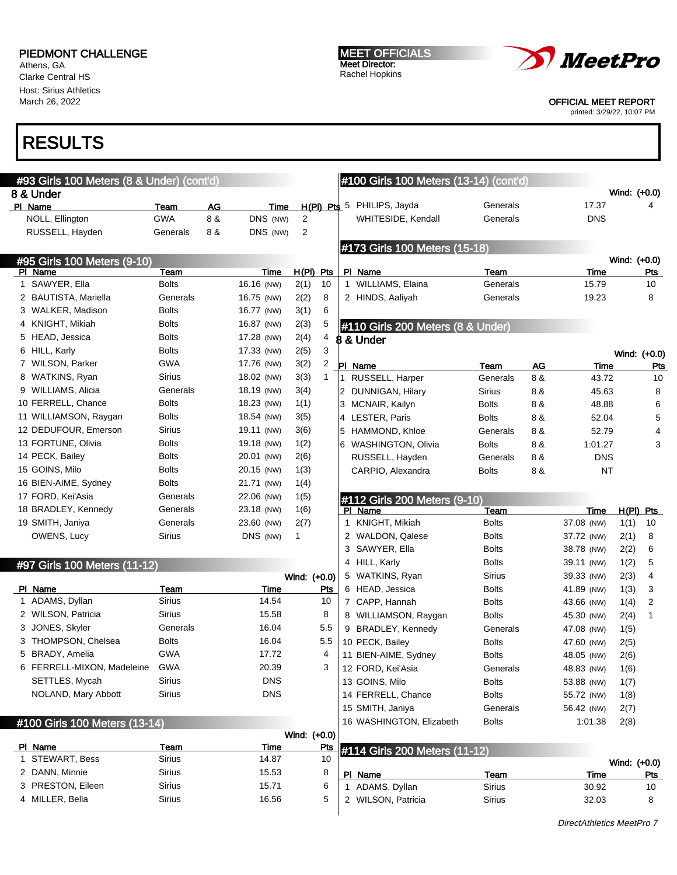Athens, GA Clarke Central HS Host: Sirius Athletics March 26, 2022

#### MEET OFFICIALS Meet Director: Rachel Hopkins



#### OFFICIAL MEET REPORT

printed: 3/29/22, 10:07 PM

| #93 Girls 100 Meters (8 & Under) (cont'd) |                |           |               |                |                  |   | #100 Girls 100 Meters (13-14) (cont'd) |                              |     |                           |              |                  |
|-------------------------------------------|----------------|-----------|---------------|----------------|------------------|---|----------------------------------------|------------------------------|-----|---------------------------|--------------|------------------|
| 8 & Under                                 |                |           |               |                |                  |   |                                        |                              |     |                           | Wind: (+0.0) |                  |
| PI Name                                   | Team           | <b>AG</b> | Time          |                |                  |   | H(PI) Pts 5 PHILIPS, Jayda             | Generals                     |     | 17.37                     |              | 4                |
| NOLL, Ellington                           | <b>GWA</b>     | 8 &       | DNS (NW)      | 2              |                  |   | WHITESIDE, Kendall                     | Generals                     |     | <b>DNS</b>                |              |                  |
| RUSSELL, Hayden                           | Generals       | 8 &       | DNS (NW)      | $\overline{2}$ |                  |   |                                        |                              |     |                           |              |                  |
|                                           |                |           |               |                |                  |   | #173 Girls 100 Meters (15-18)          |                              |     |                           | Wind: (+0.0) |                  |
| #95 Girls 100 Meters (9-10)<br>PI Name    | Team           |           | Time          | $H(PI)$ Pts    |                  |   | PI Name                                | Team                         |     | Time                      |              | <u>Pts</u>       |
| 1 SAWYER, Ella                            | <b>Bolts</b>   |           | 16.16 (NW)    | 2(1)           | 10               |   | 1 WILLIAMS, Elaina                     | Generals                     |     | 15.79                     |              | 10               |
| 2 BAUTISTA, Mariella                      | Generals       |           | 16.75 (NW)    | 2(2)           | 8                |   | 2 HINDS, Aaliyah                       | Generals                     |     | 19.23                     |              | 8                |
| 3 WALKER, Madison                         | <b>Bolts</b>   |           | 16.77 (NW)    | 3(1)           | 6                |   |                                        |                              |     |                           |              |                  |
| 4 KNIGHT, Mikiah                          | <b>Bolts</b>   |           | 16.87 (NW)    | 2(3)           | 5                |   | #110 Girls 200 Meters (8 & Under)      |                              |     |                           |              |                  |
| 5 HEAD, Jessica                           | <b>Bolts</b>   |           | 17.28 (NW)    | 2(4)           | 4                |   | 8 & Under                              |                              |     |                           |              |                  |
| 6 HILL, Karly                             | <b>Bolts</b>   |           | 17.33 (NW)    | 2(5)           | 3                |   |                                        |                              |     |                           |              | Wind: (+0.0)     |
| 7 WILSON, Parker                          | <b>GWA</b>     |           | 17.76 (NW)    | 3(2)           | 2                |   | PI Name                                | Team                         | AG  | Time                      |              | <b>Pts</b>       |
| 8 WATKINS, Ryan                           | <b>Sirius</b>  |           | 18.02 (NW)    | 3(3)           | $\mathbf{1}$     |   | 1 RUSSELL, Harper                      | Generals                     | 8 & | 43.72                     |              | 10               |
| 9 WILLIAMS, Alicia                        | Generals       |           | 18.19 (NW)    | 3(4)           |                  |   | 2 DUNNIGAN, Hilary                     | <b>Sirius</b>                | 8 & | 45.63                     |              | 8                |
| 10 FERRELL, Chance                        | <b>Bolts</b>   |           | 18.23 (NW)    | 1(1)           |                  |   | 3 MCNAIR, Kailyn                       | <b>Bolts</b>                 | 8 & | 48.88                     |              | 6                |
| 11 WILLIAMSON, Raygan                     | <b>Bolts</b>   |           | 18.54 (NW)    | 3(5)           |                  |   | 4 LESTER, Paris                        | <b>Bolts</b>                 | 8 & | 52.04                     |              | 5                |
| 12 DEDUFOUR, Emerson                      | <b>Sirius</b>  |           | 19.11 (NW)    | 3(6)           |                  |   | 5 HAMMOND, Khloe                       | Generals                     | 8 & | 52.79                     |              | 4                |
| 13 FORTUNE, Olivia                        | <b>Bolts</b>   |           | 19.18 (NW)    | 1(2)           |                  |   | 6 WASHINGTON, Olivia                   | <b>Bolts</b>                 | 8 & | 1:01.27                   |              | 3                |
| 14 PECK, Bailey                           | <b>Bolts</b>   |           | 20.01 (NW)    | 2(6)           |                  |   | RUSSELL, Hayden                        | Generals                     | 8 & | <b>DNS</b>                |              |                  |
| 15 GOINS, Milo                            | <b>Bolts</b>   |           | 20.15 (NW)    | 1(3)           |                  |   | CARPIO, Alexandra                      | <b>Bolts</b>                 | 8 & | <b>NT</b>                 |              |                  |
| 16 BIEN-AIME, Sydney                      | <b>Bolts</b>   |           | 21.71 (NW)    | 1(4)           |                  |   |                                        |                              |     |                           |              |                  |
| 17 FORD, Kei'Asia                         | Generals       |           | 22.06 (NW)    | 1(5)           |                  |   | #112 Girls 200 Meters (9-10)           |                              |     |                           |              |                  |
| 18 BRADLEY, Kennedy                       | Generals       |           | 23.18 (NW)    | 1(6)           |                  |   | PI Name                                | Team                         |     | Time                      | $H(PI)$ Pts  |                  |
| 19 SMITH, Janiya                          | Generals       |           | 23.60 (NW)    | 2(7)           |                  | 1 | KNIGHT, Mikiah                         | <b>Bolts</b>                 |     | 37.08 (NW)                | 1(1)         | 10               |
| OWENS, Lucy                               | <b>Sirius</b>  |           | DNS (NW)      | 1              |                  |   | 2 WALDON, Qalese                       | <b>Bolts</b>                 |     | 37.72 (NW)                | 2(1)         | 8                |
|                                           |                |           |               |                |                  | 3 | SAWYER, Ella                           | <b>Bolts</b>                 |     | 38.78 (NW)                | 2(2)         | 6                |
| #97 Girls 100 Meters (11-12)              |                |           |               |                |                  |   | 4 HILL, Karly                          | <b>Bolts</b>                 |     | 39.11 (NW)                | 1(2)         | 5                |
|                                           |                |           |               | Wind: (+0.0)   |                  |   | 5 WATKINS, Ryan                        | <b>Sirius</b>                |     | 39.33 (NW)                | 2(3)         | 4                |
| PI Name                                   | Team           |           | Time          |                | <u>Pts</u>       |   | 6 HEAD, Jessica                        | <b>Bolts</b>                 |     | 41.89 (NW)                | 1(3)         | 3                |
| 1 ADAMS, Dyllan                           | Sirius         |           | 14.54         |                | 10               |   | 7 CAPP, Hannah                         | <b>Bolts</b>                 |     | 43.66 (NW)                | 1(4)         | 2                |
| 2 WILSON, Patricia                        | <b>Sirius</b>  |           | 15.58         |                | 8                |   | 8 WILLIAMSON, Raygan                   | <b>Bolts</b>                 |     | 45.30 (NW)                | 2(4)         | 1                |
| 3 JONES, Skyler                           | Generals       |           | 16.04         |                | 5.5              |   | 9 BRADLEY, Kennedy                     | Generals                     |     | 47.08 (NW)                | 1(5)         |                  |
| 3 THOMPSON, Chelsea                       | <b>Bolts</b>   |           | 16.04         |                | 5.5              |   | 10 PECK, Bailey                        | <b>Bolts</b>                 |     | 47.60 (NW)                | 2(5)         |                  |
| 5 BRADY, Amelia                           | GWA            |           | 17.72         |                | 4                |   | 11 BIEN-AIME, Sydney                   | <b>Bolts</b>                 |     | 48.05 (NW)                | 2(6)         |                  |
| 6 FERRELL-MIXON, Madeleine                | <b>GWA</b>     |           | 20.39         |                | 3                |   | 12 FORD, Kei'Asia                      | Generals                     |     | 48.83 (NW)                | 1(6)         |                  |
| SETTLES, Mycah                            | Sirius         |           | <b>DNS</b>    |                |                  |   | 13 GOINS, Milo                         | <b>Bolts</b>                 |     | 53.88 (NW)                | 1(7)         |                  |
| NOLAND, Mary Abbott                       | <b>Sirius</b>  |           | <b>DNS</b>    |                |                  |   | 14 FERRELL, Chance                     | <b>Bolts</b>                 |     | 55.72 (NW)                | 1(8)         |                  |
|                                           |                |           |               |                |                  |   | 15 SMITH, Janiya                       | Generals                     |     | 56.42 (NW)                | 2(7)         |                  |
| #100 Girls 100 Meters (13-14)             |                |           |               |                |                  |   | 16 WASHINGTON, Elizabeth               | <b>Bolts</b>                 |     | 1:01.38                   | 2(8)         |                  |
|                                           |                |           |               | Wind: (+0.0)   |                  |   |                                        |                              |     |                           |              |                  |
| PI Name<br>1 STEWART, Bess                | Team<br>Sirius |           | Time<br>14.87 |                | <u>Pts</u><br>10 |   | #114 Girls 200 Meters (11-12)          |                              |     |                           |              |                  |
| 2 DANN, Minnie                            | <b>Sirius</b>  |           | 15.53         |                | 8                |   |                                        |                              |     |                           | Wind: (+0.0) |                  |
| 3 PRESTON, Eileen                         | <b>Sirius</b>  |           | 15.71         |                | 6                |   | PI Name<br>1 ADAMS, Dyllan             | <b>Team</b><br><b>Sirius</b> |     | <b>Time</b><br>30.92      |              | <u>Pts</u><br>10 |
| 4 MILLER, Bella                           | <b>Sirius</b>  |           | 16.56         |                | 5                |   | 2 WILSON, Patricia                     | <b>Sirius</b>                |     | 32.03                     |              | 8                |
|                                           |                |           |               |                |                  |   |                                        |                              |     |                           |              |                  |
|                                           |                |           |               |                |                  |   |                                        |                              |     | DirectAthletics MeetPro 7 |              |                  |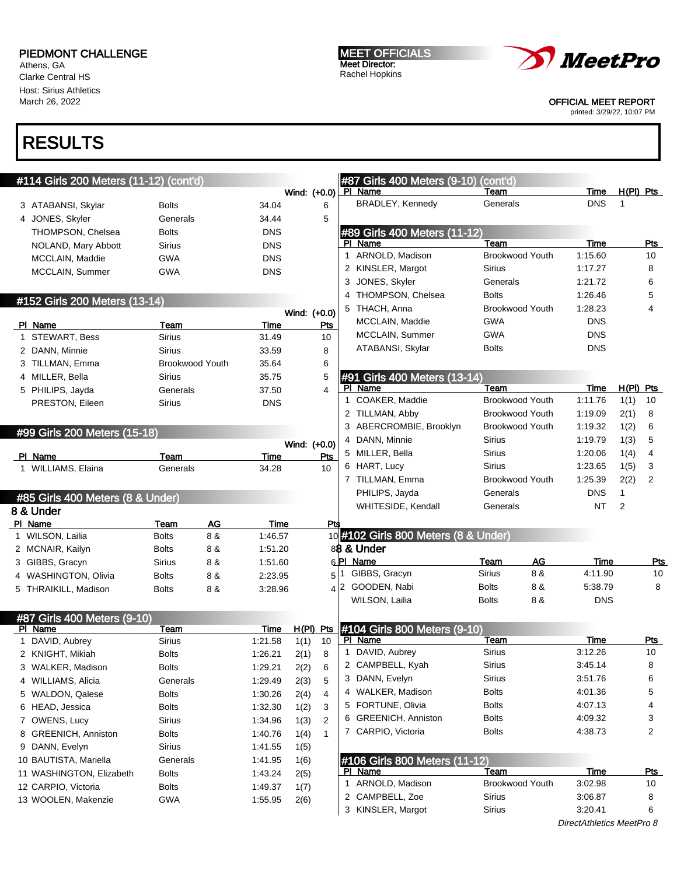Athens, GA Clarke Central HS Host: Sirius Athletics March 26, 2022

# RESULTS

|         | #114 Girls 200 Meters (11-12) (cont'd)     |                              |                        |                    |              |                |   | #87 Girls 400 Meters (9-10) (cont'd)            |               |                        |             |                |                         |
|---------|--------------------------------------------|------------------------------|------------------------|--------------------|--------------|----------------|---|-------------------------------------------------|---------------|------------------------|-------------|----------------|-------------------------|
|         |                                            |                              |                        |                    |              | Wind: (+0.0)   |   | PI Name                                         | Team          |                        | Time        | $H(PI)$ Pts    |                         |
|         | 3 ATABANSI, Skylar                         | <b>Bolts</b>                 |                        | 34.04              |              | 6              |   | BRADLEY, Kennedy                                | Generals      |                        | <b>DNS</b>  | 1              |                         |
|         | 4 JONES, Skyler                            | Generals                     |                        | 34.44              |              | 5              |   |                                                 |               |                        |             |                |                         |
|         | THOMPSON, Chelsea                          | <b>Bolts</b>                 |                        | <b>DNS</b>         |              |                |   | #89 Girls 400 Meters (11-12)                    |               |                        |             |                |                         |
|         | NOLAND, Mary Abbott                        | Sirius                       |                        | <b>DNS</b>         |              |                |   | PI Name                                         | Team          |                        | <b>Time</b> |                | <b>Pts</b>              |
|         | MCCLAIN, Maddie                            | GWA                          |                        | <b>DNS</b>         |              |                |   | 1 ARNOLD, Madison                               |               | Brookwood Youth        | 1:15.60     |                | 10                      |
|         | MCCLAIN, Summer                            | GWA                          |                        | <b>DNS</b>         |              |                |   | 2 KINSLER, Margot                               | Sirius        |                        | 1:17.27     |                | 8                       |
|         |                                            |                              |                        |                    |              |                |   | 3 JONES, Skyler                                 | Generals      |                        | 1:21.72     |                | 6                       |
|         | #152 Girls 200 Meters (13-14)              |                              |                        |                    |              |                |   | 4 THOMPSON, Chelsea                             | <b>Bolts</b>  |                        | 1:26.46     |                | 5                       |
|         |                                            |                              |                        |                    |              | Wind: (+0.0)   |   | 5 THACH, Anna                                   |               | <b>Brookwood Youth</b> | 1:28.23     |                | 4                       |
|         | PI Name                                    | Team                         |                        | Time               |              | <b>Pts</b>     |   | MCCLAIN, Maddie                                 | <b>GWA</b>    |                        | <b>DNS</b>  |                |                         |
|         | 1 STEWART, Bess                            | Sirius                       |                        | 31.49              |              | 10             |   | MCCLAIN, Summer                                 | <b>GWA</b>    |                        | <b>DNS</b>  |                |                         |
|         | 2 DANN, Minnie                             | Sirius                       |                        | 33.59              |              | 8              |   | ATABANSI, Skylar                                | <b>Bolts</b>  |                        | <b>DNS</b>  |                |                         |
|         | 3 TILLMAN, Emma                            |                              | <b>Brookwood Youth</b> | 35.64              |              | 6              |   |                                                 |               |                        |             |                |                         |
|         | 4 MILLER, Bella                            | Sirius                       |                        | 35.75              |              | 5              |   | #91 Girls 400 Meters (13-14)                    |               |                        |             |                |                         |
|         | 5 PHILIPS, Jayda                           | Generals                     |                        | 37.50              |              | $\overline{4}$ |   | PI Name                                         | Team          |                        | Time        | $H(PI)$ Pts    |                         |
|         | PRESTON, Eileen                            | Sirius                       |                        | <b>DNS</b>         |              |                |   | 1 COAKER, Maddie                                |               | <b>Brookwood Youth</b> | 1:11.76     | 1(1)           | 10                      |
|         |                                            |                              |                        |                    |              |                |   | 2 TILLMAN, Abby                                 |               | <b>Brookwood Youth</b> | 1:19.09     | 2(1)           | 8                       |
|         | #99 Girls 200 Meters (15-18)               |                              |                        |                    |              |                |   | 3 ABERCROMBIE, Brooklyn                         |               | <b>Brookwood Youth</b> | 1:19.32     | 1(2)           | 6                       |
|         |                                            |                              |                        |                    | Wind: (+0.0) |                |   | 4 DANN, Minnie                                  | Sirius        |                        | 1:19.79     | 1(3)           | 5                       |
|         | PI Name                                    | Team                         |                        | Time               |              | Pts            |   | 5 MILLER, Bella                                 | Sirius        |                        | 1:20.06     | 1(4)           | 4                       |
|         | 1 WILLIAMS, Elaina                         | Generals                     |                        | 34.28              |              | 10             |   | 6 HART, Lucy                                    | Sirius        |                        | 1:23.65     | 1(5)           | 3                       |
|         |                                            |                              |                        |                    |              |                |   | 7 TILLMAN, Emma                                 |               | <b>Brookwood Youth</b> | 1:25.39     | 2(2)           | 2                       |
|         | #85 Girls 400 Meters (8 & Under)           |                              |                        |                    |              |                |   | PHILIPS, Jayda                                  | Generals      |                        | <b>DNS</b>  | $\mathbf{1}$   |                         |
|         | 8 & Under                                  |                              |                        |                    |              |                |   | WHITESIDE, Kendall                              | Generals      |                        | <b>NT</b>   | $\overline{2}$ |                         |
| PI Name |                                            | <b>Team</b>                  | <b>AG</b>              | Time               |              | <b>Pts</b>     |   |                                                 |               |                        |             |                |                         |
|         | 1 WILSON, Lailia                           | <b>Bolts</b>                 | 8 &                    | 1:46.57            |              |                |   | 10 #102 Girls 800 Meters (8 & Under)            |               |                        |             |                |                         |
|         | 2 MCNAIR, Kailyn                           | <b>Bolts</b>                 | 8 &                    | 1:51.20            |              |                |   | 88 & Under                                      |               |                        |             |                |                         |
|         | 3 GIBBS, Gracyn                            | Sirius                       | 8 &                    | 1:51.60            |              |                |   | 6PI Name                                        | Team          | AG                     | Time        |                | <u>Pts</u>              |
|         | 4 WASHINGTON, Olivia                       | Bolts                        | 8 &                    | 2:23.95            |              | 5 <sup>1</sup> |   | GIBBS, Gracyn                                   | Sirius        | 8 &                    | 4:11.90     |                | 10                      |
|         | 5 THRAIKILL, Madison                       | Bolts                        | 8 &                    | 3:28.96            |              |                |   | 4 2 GOODEN, Nabi                                | <b>Bolts</b>  | 8 &                    | 5:38.79     |                | 8                       |
|         |                                            |                              |                        |                    |              |                |   | WILSON, Lailia                                  | <b>Bolts</b>  | 8 &                    | <b>DNS</b>  |                |                         |
|         | #87 Girls 400 Meters (9-10)                |                              |                        |                    |              |                |   |                                                 |               |                        |             |                |                         |
|         | PI Name                                    | Team                         |                        | Time               |              | $H(PI)$ Pts    |   | #104 Girls 800 Meters (9-10)                    |               |                        |             |                |                         |
|         | 1 DAVID, Aubrey                            | Sirius                       |                        | 1:21.58            | 1(1)         | 10             |   | PI Name                                         | Team          |                        | Time        |                | Pts                     |
|         |                                            |                              |                        |                    |              |                | 1 | DAVID, Aubrey                                   | <b>Sirius</b> |                        | 3:12.26     |                | 10                      |
|         | 2 KNIGHT, Mikiah                           | <b>Bolts</b>                 |                        | 1:26.21            | 2(1)         | 8              |   |                                                 |               |                        |             |                | 8                       |
| 3       | WALKER, Madison                            | <b>Bolts</b>                 |                        | 1:29.21            |              | 6              |   | 2 CAMPBELL, Kyah                                | Sirius        |                        | 3:45.14     |                | 6                       |
|         | 4 WILLIAMS, Alicia                         | Generals                     |                        | 1:29.49            | 2(2)         | 5              |   | 3 DANN, Evelyn                                  | Sirius        |                        | 3:51.76     |                |                         |
|         | 5 WALDON, Qalese                           |                              |                        |                    | 2(3)         | 4              |   | 4 WALKER, Madison                               | <b>Bolts</b>  |                        | 4:01.36     |                | 5                       |
|         | 6 HEAD, Jessica                            | <b>Bolts</b><br><b>Bolts</b> |                        | 1:30.26            | 2(4)         | 3              |   | 5 FORTUNE, Olivia                               | <b>Bolts</b>  |                        | 4:07.13     |                | 4                       |
|         |                                            | Sirius                       |                        | 1:32.30            | 1(2)         | 2              |   | 6 GREENICH, Anniston                            | <b>Bolts</b>  |                        | 4:09.32     |                | 3                       |
|         | 7 OWENS, Lucy<br>8 GREENICH, Anniston      | <b>Bolts</b>                 |                        | 1:34.96            | 1(3)         | 1              |   | 7 CARPIO, Victoria                              | Bolts         |                        | 4:38.73     |                | $\overline{\mathbf{c}}$ |
|         |                                            | Sirius                       |                        | 1:40.76            | 1(4)         |                |   |                                                 |               |                        |             |                |                         |
|         | 9 DANN, Evelyn<br>10 BAUTISTA, Mariella    | Generals                     |                        | 1:41.55            | 1(5)         |                |   |                                                 |               |                        |             |                |                         |
|         | 11 WASHINGTON, Elizabeth                   | Bolts                        |                        | 1:41.95            | 1(6)         |                |   | #106 Girls 800 Meters (11-12)<br><u>PI Name</u> | Team          |                        | <b>Time</b> |                | <u>Pts</u>              |
|         |                                            |                              |                        | 1:43.24            | 2(5)         |                | 1 | ARNOLD, Madison                                 |               | Brookwood Youth        | 3:02.98     |                | 10                      |
|         | 12 CARPIO, Victoria<br>13 WOOLEN, Makenzie | <b>Bolts</b><br>GWA          |                        | 1:49.37<br>1:55.95 | 1(7)<br>2(6) |                |   | 2 CAMPBELL, Zoe                                 | Sirius        |                        | 3:06.87     |                | 8                       |

```
MEET OFFICIALS
Meet Director:
Rachel Hopkins
```


OFFICIAL MEET REPORT

printed: 3/29/22, 10:07 PM

DirectAthletics MeetPro 8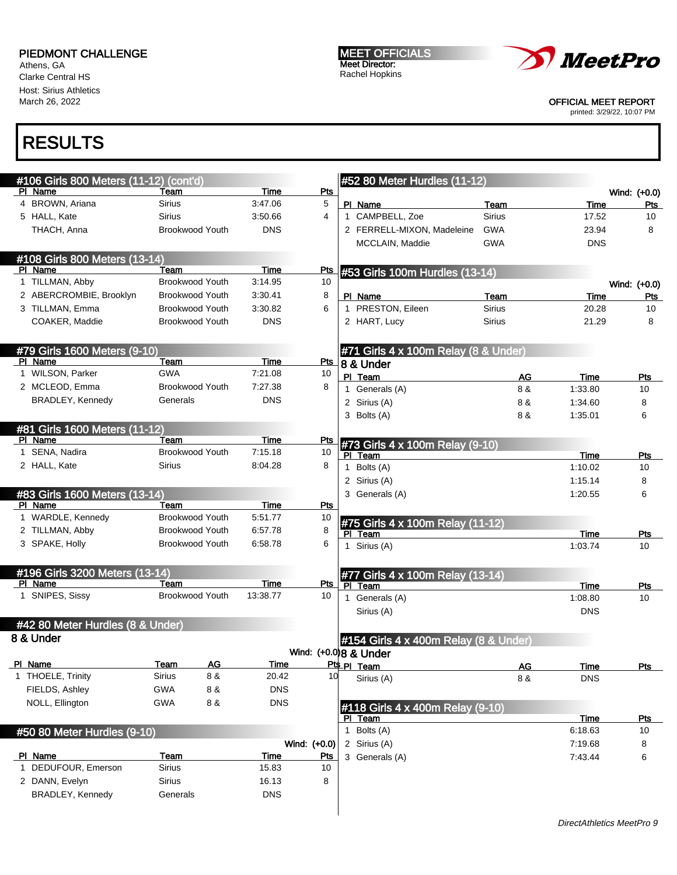Athens, GA Clarke Central HS Host: Sirius Athletics March 26, 2022

MEET OFFICIALS Meet Director: Rachel Hopkins



#### OFFICIAL MEET REPORT

printed: 3/29/22, 10:07 PM

| #106 Girls 800 Meters (11-12) (cont'd)    |               |                        |             |              |     | #52 80 Meter Hurdles (11-12)             |               |             |              |
|-------------------------------------------|---------------|------------------------|-------------|--------------|-----|------------------------------------------|---------------|-------------|--------------|
| PI Name                                   | Team          |                        | Time        | Pts          |     |                                          |               |             | Wind: (+0.0) |
| 4 BROWN, Ariana                           | <b>Sirius</b> |                        | 3:47.06     | 5            |     | PI Name                                  | Team          | Time        | Pts          |
| 5 HALL, Kate                              | <b>Sirius</b> |                        | 3:50.66     | 4            |     | 1 CAMPBELL, Zoe                          | <b>Sirius</b> | 17.52       | 10           |
| THACH, Anna                               |               | <b>Brookwood Youth</b> | <b>DNS</b>  |              |     | 2 FERRELL-MIXON, Madeleine               | <b>GWA</b>    | 23.94       | 8            |
|                                           |               |                        |             |              |     | MCCLAIN, Maddie                          | <b>GWA</b>    | <b>DNS</b>  |              |
| #108 Girls 800 Meters (13-14)             |               |                        |             |              |     |                                          |               |             |              |
| PI Name                                   | Team          |                        | Time        | <u>Pts</u>   |     | #53 Girls 100m Hurdles (13-14)           |               |             |              |
| 1 TILLMAN, Abby                           |               | <b>Brookwood Youth</b> | 3:14.95     | 10           |     |                                          |               |             | Wind: (+0.0) |
| 2 ABERCROMBIE, Brooklyn                   |               | <b>Brookwood Youth</b> | 3:30.41     | 8            |     | PI Name                                  | <b>Team</b>   | <b>Time</b> | Pts          |
| 3 TILLMAN, Emma                           |               | <b>Brookwood Youth</b> | 3:30.82     | 6            |     | 1 PRESTON, Eileen                        | <b>Sirius</b> | 20.28       | 10           |
| COAKER, Maddie                            |               | <b>Brookwood Youth</b> | <b>DNS</b>  |              |     | 2 HART, Lucy                             | <b>Sirius</b> | 21.29       | 8            |
| #79 Girls 1600 Meters (9-10)              |               |                        |             |              |     | #71 Girls 4 x 100m Relay (8 & Under)     |               |             |              |
| PI Name                                   | Team          |                        | Time        | <b>Pts</b>   |     | 8 & Under                                |               |             |              |
| 1 WILSON, Parker                          | <b>GWA</b>    |                        | 7:21.08     | 10           |     | PI Team                                  | AG            | Time        | Pts          |
| 2 MCLEOD, Emma                            |               | <b>Brookwood Youth</b> | 7:27.38     | 8            |     | 1 Generals (A)                           | 8 &           | 1:33.80     | 10           |
| <b>BRADLEY, Kennedy</b>                   | Generals      |                        | <b>DNS</b>  |              |     | 2 Sirius (A)                             | 8 &           | 1:34.60     | 8            |
|                                           |               |                        |             |              |     | 3 Bolts (A)                              | 8 &           | 1:35.01     | 6            |
| #81 Girls 1600 Meters (11-12)             |               |                        |             |              |     |                                          |               |             |              |
| PI Name                                   | Team          |                        | Time        | Pts          |     | #73 Girls 4 x 100m Relay (9-10)          |               |             |              |
| 1 SENA, Nadira                            |               | Brookwood Youth        | 7:15.18     | 10           |     | PI Team                                  |               | Time        | Pts          |
| 2 HALL, Kate                              | Sirius        |                        | 8:04.28     | 8            |     | 1 Bolts (A)                              |               | 1:10.02     | 10           |
|                                           |               |                        |             |              |     | 2 Sirius (A)                             |               | 1:15.14     | 8            |
| #83 Girls 1600 Meters (13-14)             |               |                        |             |              |     | 3 Generals (A)                           |               | 1:20.55     | 6            |
| PI Name                                   | Team          |                        | Time        | Pts          |     |                                          |               |             |              |
| 1 WARDLE, Kennedy                         |               | <b>Brookwood Youth</b> | 5:51.77     | 10           |     |                                          |               |             |              |
| 2 TILLMAN, Abby                           |               | <b>Brookwood Youth</b> | 6:57.78     | 8            | PI. | #75 Girls 4 x 100m Relay (11-12)<br>Team |               | Time        | Pts          |
| 3 SPAKE, Holly                            |               | <b>Brookwood Youth</b> | 6:58.78     | 6            |     | 1 Sirius (A)                             |               | 1:03.74     | 10           |
|                                           |               |                        |             |              |     |                                          |               |             |              |
| #196 Girls 3200 Meters (13-14)<br>PI Name | Team          |                        | Time        | Pts          |     | #77 Girls 4 x 100m Relay (13-14)         |               |             |              |
| 1 SNIPES, Sissy                           |               | <b>Brookwood Youth</b> | 13:38.77    | 10           |     | PI Team                                  |               | Time        | Pts          |
|                                           |               |                        |             |              |     | 1 Generals (A)                           |               | 1:08.80     | 10           |
| #42 80 Meter Hurdles (8 & Under)          |               |                        |             |              |     | Sirius (A)                               |               | <b>DNS</b>  |              |
| 8 & Under                                 |               |                        |             |              |     | #154 Girls 4 x 400m Relay (8 & Under)    |               |             |              |
|                                           |               |                        |             |              |     | Wind: (+0.0) 8 & Under                   |               |             |              |
| PI Name                                   | <u>Team</u>   | Δv                     | <u>Time</u> |              |     | Pts PI Team                              | <u>AG</u>     | <u>lime</u> | <u>Pts</u>   |
| 1 THOELE, Trinity                         | Sirius        | 8 &                    | 20.42       | 10           |     | Sirius (A)                               | 8 &           | <b>DNS</b>  |              |
| FIELDS, Ashley                            | GWA           | 8 &                    | <b>DNS</b>  |              |     |                                          |               |             |              |
| NOLL, Ellington                           | <b>GWA</b>    | 8 &                    | <b>DNS</b>  |              |     | #118 Girls 4 x 400m Relay (9-10)         |               |             |              |
|                                           |               |                        |             |              |     | PI Team                                  |               | Time        | <u>Pts</u>   |
| #50 80 Meter Hurdles (9-10)               |               |                        |             |              |     | 1 Bolts (A)                              |               | 6:18.63     | 10           |
|                                           |               |                        |             | Wind: (+0.0) |     | 2 Sirius (A)                             |               | 7:19.68     | 8            |
| PI Name                                   | Team          |                        | Time        | Pts          |     | 3 Generals (A)                           |               | 7:43.44     | 6            |
| 1 DEDUFOUR, Emerson                       | <b>Sirius</b> |                        | 15.83       | 10           |     |                                          |               |             |              |
| 2 DANN, Evelyn                            | <b>Sirius</b> |                        | 16.13       | 8            |     |                                          |               |             |              |
| <b>BRADLEY, Kennedy</b>                   | Generals      |                        | <b>DNS</b>  |              |     |                                          |               |             |              |
|                                           |               |                        |             |              |     |                                          |               |             |              |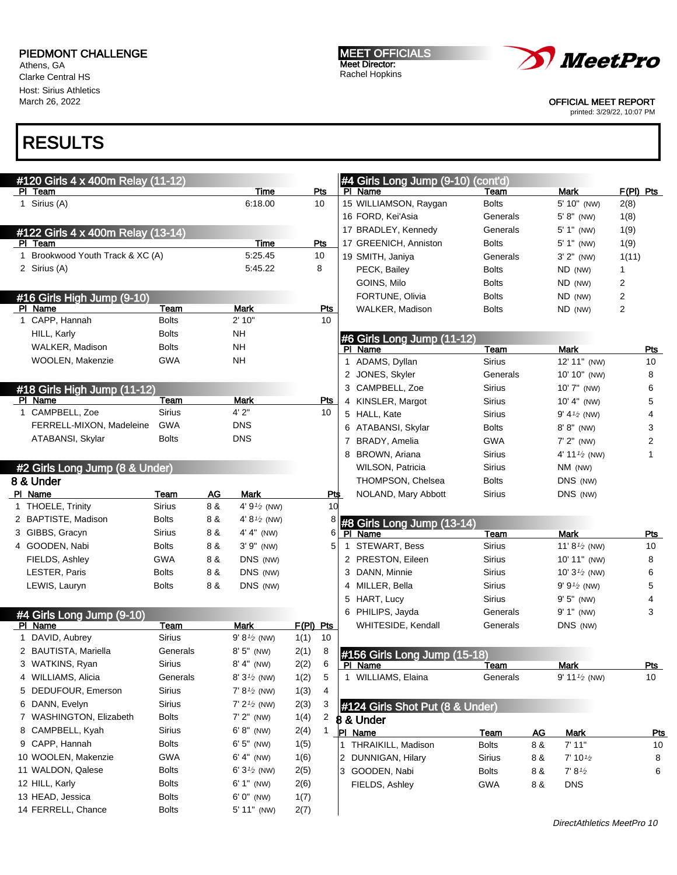Athens, GA Clarke Central HS Host: Sirius Athletics March 26, 2022

MEET OFFICIALS Meet Director: Rachel Hopkins



OFFICIAL MEET REPORT

printed: 3/29/22, 10:07 PM

| #120 Girls 4 x 400m Relay (11-12)           |              |     |                        |           |                  |              | #4 Girls Long Jump (9-10) (cont'd)       |                      |           |                          |             |
|---------------------------------------------|--------------|-----|------------------------|-----------|------------------|--------------|------------------------------------------|----------------------|-----------|--------------------------|-------------|
| PI Team                                     |              |     | Time                   | Pts       |                  |              | PI Name                                  | Team                 |           | <b>Mark</b>              | $F(PI)$ Pts |
| 1 Sirius (A)                                |              |     | 6:18.00                | 10        |                  |              | 15 WILLIAMSON, Raygan                    | <b>Bolts</b>         |           | 5' 10" (NW)              | 2(8)        |
|                                             |              |     |                        |           |                  |              | 16 FORD, Kei'Asia<br>17 BRADLEY, Kennedy | Generals<br>Generals |           | $5' 8''$ (NW)            | 1(8)        |
| #122 Girls 4 x 400m Relay (13-14)           |              |     | <b>Time</b>            |           |                  |              |                                          |                      |           | $5' 1''$ (NW)            | 1(9)        |
| PI Team<br>1 Brookwood Youth Track & XC (A) |              |     | 5:25.45                | Pts<br>10 |                  |              | 17 GREENICH, Anniston                    | <b>Bolts</b>         |           | 5' 1" (NW)               | 1(9)        |
| 2 Sirius (A)                                |              |     | 5:45.22                | 8         |                  |              | 19 SMITH, Janiya                         | Generals             |           | $3' 2''$ (NW)            | 1(11)       |
|                                             |              |     |                        |           |                  |              | PECK, Bailey                             | <b>Bolts</b>         |           | ND (NW)                  | 1           |
|                                             |              |     |                        |           |                  |              | GOINS, Milo                              | <b>Bolts</b>         |           | ND (NW)                  | 2           |
| #16 Girls High Jump (9-10)<br>PI Name       | Team         |     | <b>Mark</b>            |           |                  |              | FORTUNE, Olivia                          | <b>Bolts</b>         |           | ND (NW)                  | 2           |
| 1 CAPP, Hannah                              | <b>Bolts</b> |     | 2'10"                  |           | <u>Pts</u><br>10 |              | WALKER, Madison                          | <b>Bolts</b>         |           | ND (NW)                  | 2           |
| HILL, Karly                                 | <b>Bolts</b> |     | NΗ                     |           |                  |              |                                          |                      |           |                          |             |
| WALKER, Madison                             | <b>Bolts</b> |     | <b>NH</b>              |           |                  |              | #6 Girls Long Jump (11-12)               |                      |           |                          |             |
| WOOLEN, Makenzie                            | <b>GWA</b>   |     | <b>NH</b>              |           |                  |              | PI Name                                  | Team                 |           | <b>Mark</b>              | Pts         |
|                                             |              |     |                        |           |                  |              | 1 ADAMS, Dyllan                          | <b>Sirius</b>        |           | 12' 11" (NW)             | 10          |
|                                             |              |     |                        |           |                  |              | 2 JONES, Skyler                          | Generals             |           | 10' 10" (NW)             | 8           |
| #18 Girls High Jump (11-12)                 |              |     |                        |           |                  |              | 3 CAMPBELL, Zoe                          | Sirius               |           | 10' 7" (NW)              | 6           |
| PI Name                                     | Team         |     | Mark<br>4'2"           |           | <u>Pts</u>       |              | 4 KINSLER, Margot                        | <b>Sirius</b>        |           | $10' 4''$ (NW)           | 5           |
| 1 CAMPBELL, Zoe                             | Sirius       |     |                        |           | 10               |              | 5 HALL, Kate                             | Sirius               |           | 9' 4 $\frac{1}{2}$ (NW)  | 4           |
| FERRELL-MIXON, Madeleine                    | <b>GWA</b>   |     | <b>DNS</b>             |           |                  |              | 6 ATABANSI, Skylar                       | <b>Bolts</b>         |           | $8' 8''$ (NW)            | 3           |
| ATABANSI, Skylar                            | Bolts        |     | <b>DNS</b>             |           |                  |              | 7 BRADY, Amelia                          | <b>GWA</b>           |           | $7'$ $2''$ (NW)          | 2           |
|                                             |              |     |                        |           |                  |              | 8 BROWN, Ariana                          | Sirius               |           | 4' 11 $\frac{1}{2}$ (NW) | 1           |
| #2 Girls Long Jump (8 & Under)              |              |     |                        |           |                  |              | <b>WILSON, Patricia</b>                  | Sirius               |           | $NM$ (NW)                |             |
| 8 & Under                                   |              |     |                        |           |                  |              | THOMPSON, Chelsea                        | <b>Bolts</b>         |           | DNS (NW)                 |             |
| PI Name                                     | Team         | AG  | Mark                   |           | Pt\$             |              | NOLAND, Mary Abbott                      | Sirius               |           | DNS (NW)                 |             |
| 1 THOELE, Trinity                           | Sirius       | 8 & | 4' $9^{1/2}$ (NW)      |           | 10               |              |                                          |                      |           |                          |             |
| 2 BAPTISTE, Madison                         | <b>Bolts</b> | 8 & | 4' $8\frac{1}{2}$ (NW) |           | 8                |              | #8 Girls Long Jump (13-14)               |                      |           |                          |             |
| 3 GIBBS, Gracyn                             | Sirius       | 8 & | 4' 4" (NW)             |           | 6                |              | PI Name                                  | Team                 |           | Mark                     | Pts         |
| 4 GOODEN, Nabi                              | <b>Bolts</b> | 8 & | $3'9''$ (NW)           |           | 5                | $\mathbf{1}$ | STEWART, Bess                            | <b>Sirius</b>        |           | 11' $8\frac{1}{2}$ (NW)  | 10          |
| FIELDS, Ashley                              | <b>GWA</b>   | 8 & | DNS (NW)               |           |                  |              | 2 PRESTON, Eileen                        | Sirius               |           | 10' 11" (NW)             | 8           |
| LESTER, Paris                               | <b>Bolts</b> | 8 & | DNS (NW)               |           |                  |              | 3 DANN, Minnie                           | <b>Sirius</b>        |           | 10' $3\frac{1}{2}$ (NW)  | 6           |
| LEWIS, Lauryn                               | <b>Bolts</b> | 8 & | DNS (NW)               |           |                  |              | 4 MILLER, Bella                          | <b>Sirius</b>        |           | $9' 9'2$ (NW)            | 5           |
|                                             |              |     |                        |           |                  |              | 5 HART, Lucy                             | <b>Sirius</b>        |           | $9'5''$ (NW)             | 4           |
| #4 Girls Long Jump (9-10)                   |              |     |                        |           |                  |              | 6 PHILIPS, Jayda                         | Generals             |           | 9' 1" (NW)               | 3           |
| PI Name                                     | <b>Team</b>  |     | <b>Mark</b>            | F(PI) Pts |                  |              | WHITESIDE, Kendall                       | Generals             |           | DNS (NW)                 |             |
| 1 DAVID, Aubrey                             | Sirius       |     | $9' 8'$ (NW)           | 1(1)      | 10               |              |                                          |                      |           |                          |             |
| 2 BAUTISTA, Mariella                        | Generals     |     | $8'5''$ (NW)           | 2(1)      | 8                |              | #156 Girls Long Jump (15-18)             |                      |           |                          |             |
| 3 WATKINS, Ryan                             | Sirius       |     | 8' 4" (NW)             | 2(2)      | 6                |              | <u>PI Name</u>                           | <u>i eam</u>         |           | <u>Mark</u>              | <u>Pts</u>  |
| 4 WILLIAMS, Alicia                          | Generals     |     | 8' $3^{1/2}$ (NW)      | 1(2)      | 5                |              | 1 WILLIAMS, Elaina                       | Generals             |           | 9' 11 $\frac{1}{2}$ (NW) | 10          |
| 5 DEDUFOUR, Emerson                         | Sirius       |     | $7' 8'$ (NW)           | 1(3)      | 4                |              |                                          |                      |           |                          |             |
| 6 DANN, Evelyn                              | Sirius       |     | $7' 21/2$ (NW)         | 2(3)      | 3                |              | #124 Girls Shot Put (8 & Under)          |                      |           |                          |             |
| 7 WASHINGTON, Elizabeth                     | <b>Bolts</b> |     | $7' 2''$ (NW)          | 1(4)      | 2                |              | 8 & Under                                |                      |           |                          |             |
| 8 CAMPBELL, Kyah                            | Sirius       |     | $6' 8''$ (NW)          | 2(4)      | 1                |              | PI Name                                  | Team                 | <u>AG</u> | Mark                     | <u>Pts</u>  |
| 9 CAPP, Hannah                              | <b>Bolts</b> |     | $6' 5''$ (NW)          | 1(5)      |                  |              | THRAIKILL, Madison                       | <b>Bolts</b>         | 8 &       | 7' 11"                   | 10          |
| 10 WOOLEN, Makenzie                         | GWA          |     | $6' 4''$ (NW)          | 1(6)      |                  |              | 2 DUNNIGAN, Hilary                       | Sirius               | 8 &       | $7' 10\frac{1}{2}$       | 8           |
| 11 WALDON, Qalese                           | <b>Bolts</b> |     | 6' $3\frac{1}{2}$ (NW) | 2(5)      |                  |              | 3 GOODEN, Nabi                           | <b>Bolts</b>         | 8 &       | $7' 8\frac{1}{2}$        | 6           |
| 12 HILL, Karly                              | <b>Bolts</b> |     | $6' 1''$ (NW)          | 2(6)      |                  |              | FIELDS, Ashley                           | <b>GWA</b>           | 8 &       | <b>DNS</b>               |             |
| 13 HEAD, Jessica                            | <b>Bolts</b> |     | 6' 0" (NW)             | 1(7)      |                  |              |                                          |                      |           |                          |             |
| 14 FERRELL, Chance                          | <b>Bolts</b> |     | 5' 11" (NW)            | 2(7)      |                  |              |                                          |                      |           |                          |             |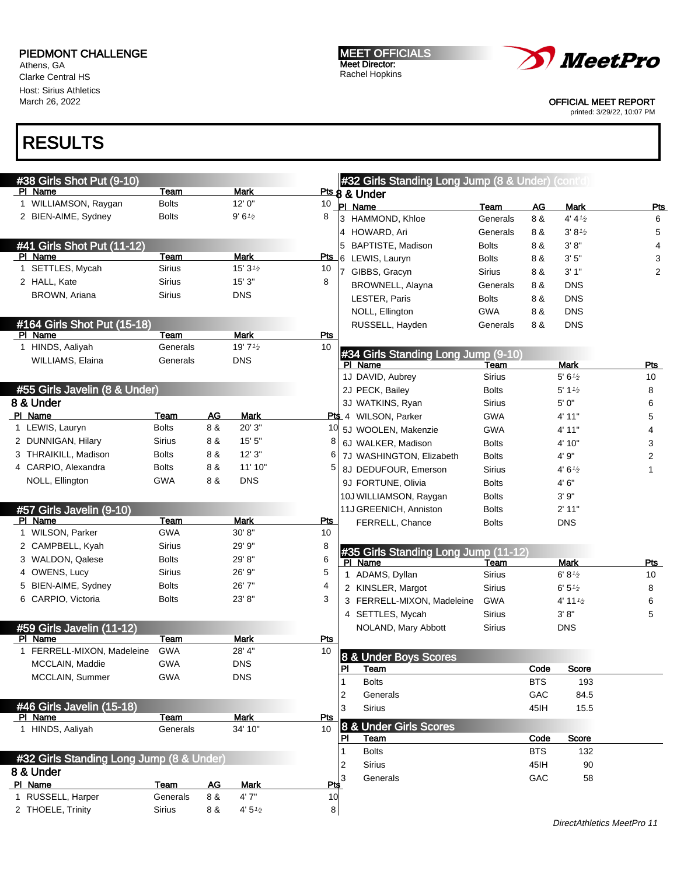Athens, GA Clarke Central HS Host: Sirius Athletics March 26, 2022

# RESULTS

| #38 Girls Shot Put (9-10)                |               |     |                    |            |    | #32 Girls Standing Long Jump (8 & Under) (cont'd) |               |            |                                  |                |
|------------------------------------------|---------------|-----|--------------------|------------|----|---------------------------------------------------|---------------|------------|----------------------------------|----------------|
| PI Name                                  | Team          |     | Mark               |            |    | Pts & Under                                       |               |            |                                  |                |
| 1 WILLIAMSON, Raygan                     | <b>Bolts</b>  |     | 12'0''             | 10         |    | PI Name                                           | Team          | <b>AG</b>  | <b>Mark</b>                      | <b>Pts</b>     |
| 2 BIEN-AIME, Sydney                      | <b>Bolts</b>  |     | $9'6\frac{1}{2}$   | 8          |    | 3 HAMMOND, Khloe                                  | Generals      | 8 &        | 4' 4'2                           | 6              |
|                                          |               |     |                    |            |    | 4 HOWARD, Ari                                     | Generals      | 8 &        | $3' 8\frac{1}{2}$                | 5              |
| #41 Girls Shot Put (11-12)               |               |     |                    |            |    | 5 BAPTISTE, Madison                               | <b>Bolts</b>  | 8 &        | 3' 8''                           | 4              |
| PI Name                                  | Team          |     | <b>Mark</b>        |            |    | Pts 6 LEWIS, Lauryn                               | <b>Bolts</b>  | 8 &        | 3'5''                            | 3              |
| 1 SETTLES, Mycah                         | <b>Sirius</b> |     | 15' $3\frac{1}{2}$ | 10         |    | 7 GIBBS, Gracyn                                   | <b>Sirius</b> | 8 &        | 3'1''                            | $\overline{2}$ |
| 2 HALL, Kate                             | <b>Sirius</b> |     | 15'3"              | 8          |    | BROWNELL, Alayna                                  | Generals      | 8 &        | <b>DNS</b>                       |                |
| BROWN, Ariana                            | <b>Sirius</b> |     | <b>DNS</b>         |            |    | LESTER, Paris                                     | <b>Bolts</b>  | 8 &        | <b>DNS</b>                       |                |
|                                          |               |     |                    |            |    | NOLL, Ellington                                   | <b>GWA</b>    | 8 &        | <b>DNS</b>                       |                |
| #164 Girls Shot Put (15-18)              |               |     |                    |            |    | RUSSELL, Hayden                                   | Generals      | 8 &        | <b>DNS</b>                       |                |
| PI Name                                  | Team          |     | <b>Mark</b>        | <u>Pts</u> |    |                                                   |               |            |                                  |                |
| 1 HINDS, Aaliyah                         | Generals      |     | 19' $7\frac{1}{2}$ | 10         |    |                                                   |               |            |                                  |                |
| WILLIAMS, Elaina                         | Generals      |     | <b>DNS</b>         |            |    | #34 Girls Standing Long Jump (9-10)<br>PI Name    | Team          |            | <b>Mark</b>                      | Pts            |
|                                          |               |     |                    |            |    | 1J DAVID, Aubrey                                  | <b>Sirius</b> |            | 5' 6'' <sub>2</sub>              | 10             |
| #55 Girls Javelin (8 & Under)            |               |     |                    |            |    | 2J PECK, Bailey                                   | <b>Bolts</b>  |            | 5' 1 <sup>1</sup> / <sub>2</sub> | 8              |
| 8 & Under                                |               |     |                    |            |    | 3J WATKINS, Ryan                                  | Sirius        |            | 5' 0"                            | 6              |
| PI Name                                  | Team          | AG  | <b>Mark</b>        |            |    | Pts 4 WILSON, Parker                              | <b>GWA</b>    |            | 4' 11"                           | 5              |
| 1 LEWIS, Lauryn                          | <b>Bolts</b>  | 8 & | 20' 3"             | 10         |    | 5J WOOLEN, Makenzie                               | <b>GWA</b>    |            | 4' 11"                           | 4              |
| 2 DUNNIGAN, Hilary                       | <b>Sirius</b> | 8 & | 15'5''             | 8          |    | 6J WALKER, Madison                                | <b>Bolts</b>  |            | 4' 10"                           | 3              |
| 3 THRAIKILL, Madison                     | <b>Bolts</b>  | 8 & | 12'3''             | 6          |    | 7J WASHINGTON, Elizabeth                          | <b>Bolts</b>  |            | 4' 9"                            | 2              |
| 4 CARPIO, Alexandra                      | <b>Bolts</b>  | 8 & | 11' 10"            | 5          |    |                                                   |               |            |                                  |                |
| NOLL, Ellington                          | <b>GWA</b>    | 8 & | <b>DNS</b>         |            |    | 8J DEDUFOUR, Emerson                              | Sirius        |            | 4'6'' <sub>2</sub>               | 1              |
|                                          |               |     |                    |            |    | 9J FORTUNE, Olivia                                | <b>Bolts</b>  |            | 4' 6"                            |                |
|                                          |               |     |                    |            |    | 10J WILLIAMSON, Raygan                            | <b>Bolts</b>  |            | 3'9''                            |                |
| #57 Girls Javelin (9-10)<br>PI Name      | Team          |     | Mark               | <u>Pts</u> |    | 11J GREENICH, Anniston                            | <b>Bolts</b>  |            | 2' 11"                           |                |
| 1 WILSON, Parker                         | <b>GWA</b>    |     | 30' 8''            | 10         |    | FERRELL, Chance                                   | <b>Bolts</b>  |            | <b>DNS</b>                       |                |
| 2 CAMPBELL, Kyah                         | <b>Sirius</b> |     | 29' 9"             | 8          |    |                                                   |               |            |                                  |                |
| 3 WALDON, Qalese                         | <b>Bolts</b>  |     | 29' 8"             | 6          |    | #35 Girls Standing Long Jump (11-12)              |               |            |                                  |                |
| 4 OWENS, Lucy                            | <b>Sirius</b> |     | 26' 9"             | 5          |    | PI Name                                           | Team          |            | <b>Mark</b>                      | Pts            |
| 5 BIEN-AIME, Sydney                      | <b>Bolts</b>  |     | 26'7"              | 4          |    | 1 ADAMS, Dyllan                                   | <b>Sirius</b> |            | 6' 8'2                           | 10             |
| 6 CARPIO, Victoria                       | <b>Bolts</b>  |     | 23'8"              | 3          |    | 2 KINSLER, Margot                                 | <b>Sirius</b> |            | 6' 5'' <sub>2</sub>              | 8              |
|                                          |               |     |                    |            |    | 3 FERRELL-MIXON, Madeleine                        | <b>GWA</b>    |            | 4' 11 $\frac{1}{2}$              | 6              |
|                                          |               |     |                    |            |    | 4 SETTLES, Mycah                                  | <b>Sirius</b> |            | 3' 8''                           | 5              |
| #59 Girls Javelin (11-12)                |               |     |                    |            |    | NOLAND, Mary Abbott                               | <b>Sirius</b> |            | <b>DNS</b>                       |                |
| PI Name<br>1 FERRELL-MIXON, Madeleine    | Team          |     | Mark               | <u>Pts</u> |    |                                                   |               |            |                                  |                |
|                                          | <b>GWA</b>    |     | 28' 4"             | 10         |    | 8 & Under Boys Scores                             |               |            |                                  |                |
| MCCLAIN, Maddie                          | GWA           |     | <b>DNS</b>         |            | PI | Team                                              |               | Code       | Score                            |                |
| MCCLAIN, Summer                          | <b>GWA</b>    |     | <b>DNS</b>         |            | 1  | <b>Bolts</b>                                      |               | <b>BTS</b> | 193                              |                |
|                                          |               |     |                    |            | 2  | Generals                                          |               | GAC        | 84.5                             |                |
| #46 Girls Javelin (15-18)                |               |     |                    |            | 3  | <b>Sirius</b>                                     |               | 45IH       | 15.5                             |                |
| PI Name                                  | Team          |     | <b>Mark</b>        | <b>Pts</b> |    | 8 & Under Girls Scores                            |               |            |                                  |                |
| 1 HINDS, Aaliyah                         | Generals      |     | 34' 10"            | 10         | PI | Team                                              |               | Code       | Score                            |                |
|                                          |               |     |                    |            | 1  | <b>Bolts</b>                                      |               | <b>BTS</b> | 132                              |                |
| #32 Girls Standing Long Jump (8 & Under) |               |     |                    |            | 2  | <b>Sirius</b>                                     |               | 45IH       | 90                               |                |
| 8 & Under                                |               |     |                    |            | 3  | Generals                                          |               | GAC        | 58                               |                |
| PI Name                                  | Team          | AG  | <b>Mark</b>        | Pts        |    |                                                   |               |            |                                  |                |
| 1 RUSSELL, Harper                        | Generals      | 8 & | 4'7''              | 10         |    |                                                   |               |            |                                  |                |
| 2 THOELE, Trinity                        | <b>Sirius</b> | 8 & | 4' 5'              | 8          |    |                                                   |               |            |                                  |                |

MEET OFFICIALS Meet Director: Rachel Hopkins



OFFICIAL MEET REPORT

printed: 3/29/22, 10:07 PM